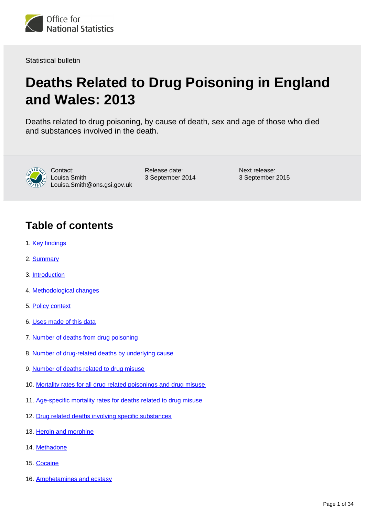

Statistical bulletin

# **Deaths Related to Drug Poisoning in England and Wales: 2013**

Deaths related to drug poisoning, by cause of death, sex and age of those who died and substances involved in the death.



Contact: Louisa Smith Louisa.Smith@ons.gsi.gov.uk Release date: 3 September 2014 Next release: 3 September 2015

## **Table of contents**

- 1. [Key findings](#page-2-0)
- 2. [Summary](#page-2-1)
- 3. [Introduction](#page-3-0)
- 4. [Methodological changes](#page-4-0)
- 5. [Policy context](#page-5-0)
- 6. [Uses made of this data](#page-5-1)
- 7. [Number of deaths from drug poisoning](#page-6-0)
- 8. [Number of drug-related deaths by underlying cause](#page-7-0)
- 9. [Number of deaths related to drug misuse](#page-8-0)
- 10. [Mortality rates for all drug related poisonings and drug misuse](#page-8-1)
- 11. [Age-specific mortality rates for deaths related to drug misuse](#page-11-0)
- 12. [Drug related deaths involving specific substances](#page-14-0)
- 13. [Heroin and morphine](#page-17-0)
- 14. [Methadone](#page-18-0)
- 15. [Cocaine](#page-18-1)
- 16. [Amphetamines and ecstasy](#page-18-2)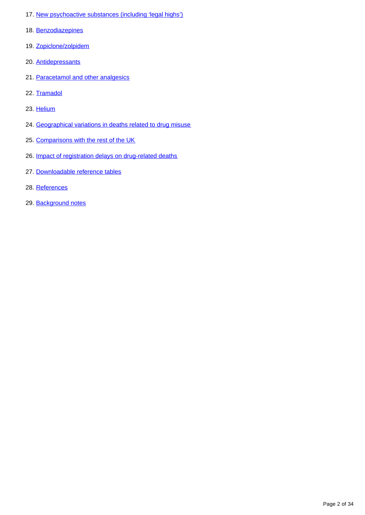- 17. [New psychoactive substances \(including 'legal highs'\)](#page-19-0)
- 18. [Benzodiazepines](#page-19-1)
- 19. [Zopiclone/zolpidem](#page-20-0)
- 20. [Antidepressants](#page-20-1)
- 21. [Paracetamol and other analgesics](#page-21-0)
- 22. [Tramadol](#page-21-1)
- 23. [Helium](#page-21-2)
- 24. [Geographical variations in deaths related to drug misuse](#page-21-3)
- 25. [Comparisons with the rest of the UK](#page-22-0)
- 26. [Impact of registration delays on drug-related deaths](#page-22-1)
- 27. [Downloadable reference tables](#page-25-0)
- 28. [References](#page-25-1)
- 29. [Background notes](#page-27-0)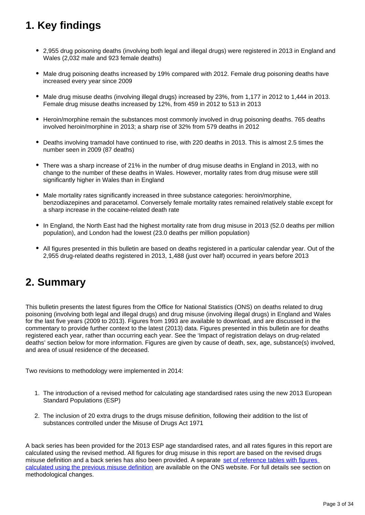## <span id="page-2-0"></span>**1. Key findings**

- 2,955 drug poisoning deaths (involving both legal and illegal drugs) were registered in 2013 in England and Wales (2,032 male and 923 female deaths)
- Male drug poisoning deaths increased by 19% compared with 2012. Female drug poisoning deaths have increased every year since 2009
- Male drug misuse deaths (involving illegal drugs) increased by 23%, from 1,177 in 2012 to 1,444 in 2013. Female drug misuse deaths increased by 12%, from 459 in 2012 to 513 in 2013
- Heroin/morphine remain the substances most commonly involved in drug poisoning deaths. 765 deaths involved heroin/morphine in 2013; a sharp rise of 32% from 579 deaths in 2012
- Deaths involving tramadol have continued to rise, with 220 deaths in 2013. This is almost 2.5 times the number seen in 2009 (87 deaths)
- There was a sharp increase of 21% in the number of drug misuse deaths in England in 2013, with no change to the number of these deaths in Wales. However, mortality rates from drug misuse were still significantly higher in Wales than in England
- Male mortality rates significantly increased in three substance categories: heroin/morphine, benzodiazepines and paracetamol. Conversely female mortality rates remained relatively stable except for a sharp increase in the cocaine-related death rate
- In England, the North East had the highest mortality rate from drug misuse in 2013 (52.0 deaths per million population), and London had the lowest (23.0 deaths per million population)
- All figures presented in this bulletin are based on deaths registered in a particular calendar year. Out of the 2,955 drug-related deaths registered in 2013, 1,488 (just over half) occurred in years before 2013

### <span id="page-2-1"></span>**2. Summary**

This bulletin presents the latest figures from the Office for National Statistics (ONS) on deaths related to drug poisoning (involving both legal and illegal drugs) and drug misuse (involving illegal drugs) in England and Wales for the last five years (2009 to 2013). Figures from 1993 are available to download, and are discussed in the commentary to provide further context to the latest (2013) data. Figures presented in this bulletin are for deaths registered each year, rather than occurring each year. See the 'Impact of registration delays on drug-related deaths' section below for more information. Figures are given by cause of death, sex, age, substance(s) involved, and area of usual residence of the deceased.

Two revisions to methodology were implemented in 2014:

- 1. The introduction of a revised method for calculating age standardised rates using the new 2013 European Standard Populations (ESP)
- 2. The inclusion of 20 extra drugs to the drugs misuse definition, following their addition to the list of substances controlled under the Misuse of Drugs Act 1971

A back series has been provided for the 2013 ESP age standardised rates, and all rates figures in this report are calculated using the revised method. All figures for drug misuse in this report are based on the revised drugs misuse definition and a back series has also been provided. A separate [set of reference tables with figures](http://www.ons.gov.uk/ons/about-ons/business-transparency/freedom-of-information/what-can-i-request/published-ad-hoc-data/health/index.html)  [calculated using the previous misuse definition](http://www.ons.gov.uk/ons/about-ons/business-transparency/freedom-of-information/what-can-i-request/published-ad-hoc-data/health/index.html) are available on the ONS website. For full details see section on methodological changes.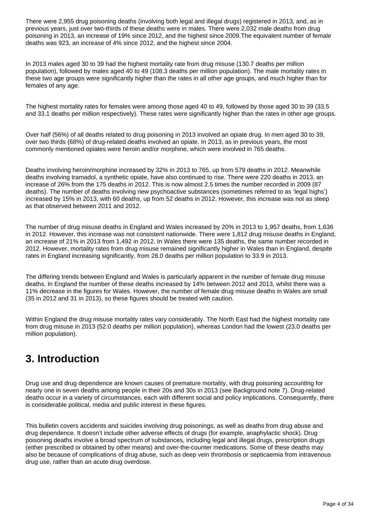There were 2,955 drug poisoning deaths (involving both legal and illegal drugs) registered in 2013, and, as in previous years, just over two-thirds of these deaths were in males. There were 2,032 male deaths from drug poisoning in 2013, an increase of 19% since 2012, and the highest since 2009.The equivalent number of female deaths was 923, an increase of 4% since 2012, and the highest since 2004.

In 2013 males aged 30 to 39 had the highest mortality rate from drug misuse (130.7 deaths per million population), followed by males aged 40 to 49 (108.3 deaths per million population). The male mortality rates in these two age groups were significantly higher than the rates in all other age groups, and much higher than for females of any age.

The highest mortality rates for females were among those aged 40 to 49, followed by those aged 30 to 39 (33.5 and 33.1 deaths per million respectively). These rates were significantly higher than the rates in other age groups.

Over half (56%) of all deaths related to drug poisoning in 2013 involved an opiate drug. In men aged 30 to 39, over two thirds (68%) of drug-related deaths involved an opiate. In 2013, as in previous years, the most commonly mentioned opiates were heroin and/or morphine, which were involved in 765 deaths.

Deaths involving heroin/morphine increased by 32% in 2013 to 765, up from 579 deaths in 2012. Meanwhile deaths involving tramadol, a synthetic opiate, have also continued to rise. There were 220 deaths in 2013, an increase of 26% from the 175 deaths in 2012. This is now almost 2.5 times the number recorded in 2009 (87 deaths). The number of deaths involving new psychoactive substances (sometimes referred to as 'legal highs') increased by 15% in 2013, with 60 deaths, up from 52 deaths in 2012. However, this increase was not as steep as that observed between 2011 and 2012.

The number of drug misuse deaths in England and Wales increased by 20% in 2013 to 1,957 deaths, from 1,636 in 2012. However, this increase was not consistent nationwide. There were 1,812 drug misuse deaths in England, an increase of 21% in 2013 from 1,492 in 2012. In Wales there were 135 deaths, the same number recorded in 2012. However, mortality rates from drug misuse remained significantly higher in Wales than in England, despite rates in England increasing significantly, from 28.0 deaths per million population to 33.9 in 2013.

The differing trends between England and Wales is particularly apparent in the number of female drug misuse deaths. In England the number of these deaths increased by 14% between 2012 and 2013, whilst there was a 11% decrease in the figures for Wales. However, the number of female drug misuse deaths in Wales are small (35 in 2012 and 31 in 2013), so these figures should be treated with caution.

Within England the drug misuse mortality rates vary considerably. The North East had the highest mortality rate from drug misuse in 2013 (52.0 deaths per million population), whereas London had the lowest (23.0 deaths per million population).

### <span id="page-3-0"></span>**3. Introduction**

Drug use and drug dependence are known causes of premature mortality, with drug poisoning accounting for nearly one in seven deaths among people in their 20s and 30s in 2013 (see Background note 7). Drug-related deaths occur in a variety of circumstances, each with different social and policy implications. Consequently, there is considerable political, media and public interest in these figures.

This bulletin covers accidents and suicides involving drug poisonings, as well as deaths from drug abuse and drug dependence. It doesn't include other adverse effects of drugs (for example, anaphylactic shock). Drug poisoning deaths involve a broad spectrum of substances, including legal and illegal drugs, prescription drugs (either prescribed or obtained by other means) and over-the-counter medications. Some of these deaths may also be because of complications of drug abuse, such as deep vein thrombosis or septicaemia from intravenous drug use, rather than an acute drug overdose.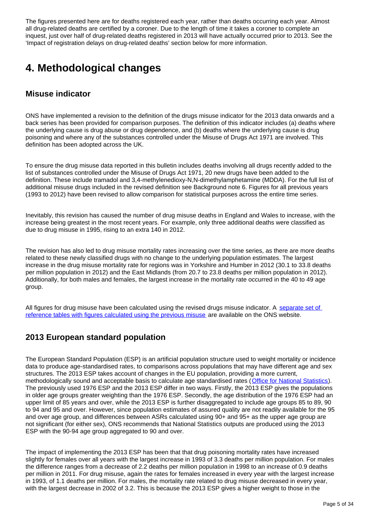The figures presented here are for deaths registered each year, rather than deaths occurring each year. Almost all drug-related deaths are certified by a coroner. Due to the length of time it takes a coroner to complete an inquest, just over half of drug-related deaths registered in 2013 will have actually occurred prior to 2013. See the 'Impact of registration delays on drug-related deaths' section below for more information.

## <span id="page-4-0"></span>**4. Methodological changes**

### **Misuse indicator**

ONS have implemented a revision to the definition of the drugs misuse indicator for the 2013 data onwards and a back series has been provided for comparison purposes. The definition of this indicator includes (a) deaths where the underlying cause is drug abuse or drug dependence, and (b) deaths where the underlying cause is drug poisoning and where any of the substances controlled under the Misuse of Drugs Act 1971 are involved. This definition has been adopted across the UK.

To ensure the drug misuse data reported in this bulletin includes deaths involving all drugs recently added to the list of substances controlled under the Misuse of Drugs Act 1971, 20 new drugs have been added to the definition. These include tramadol and 3,4-methylenedioxy-N,N-dimethylamphetamine (MDDA). For the full list of additional misuse drugs included in the revised definition see Background note 6. Figures for all previous years (1993 to 2012) have been revised to allow comparison for statistical purposes across the entire time series.

Inevitably, this revision has caused the number of drug misuse deaths in England and Wales to increase, with the increase being greatest in the most recent years. For example, only three additional deaths were classified as due to drug misuse in 1995, rising to an extra 140 in 2012.

The revision has also led to drug misuse mortality rates increasing over the time series, as there are more deaths related to these newly classified drugs with no change to the underlying population estimates. The largest increase in the drug misuse mortality rate for regions was in Yorkshire and Humber in 2012 (30.1 to 33.8 deaths per million population in 2012) and the East Midlands (from 20.7 to 23.8 deaths per million population in 2012). Additionally, for both males and females, the largest increase in the mortality rate occurred in the 40 to 49 age group.

All figures for drug misuse have been calculated using the revised drugs misuse indicator. A separate set of [reference tables with figures calculated using the previous misuse](http://www.ons.gov.uk/ons/about-ons/business-transparency/freedom-of-information/what-can-i-request/published-ad-hoc-data/health/index.html) are available on the ONS website.

### **2013 European standard population**

The European Standard Population (ESP) is an artificial population structure used to weight mortality or incidence data to produce age-standardised rates, to comparisons across populations that may have different age and sex structures. The 2013 ESP takes account of changes in the EU population, providing a more current, methodologically sound and acceptable basis to calculate age standardised rates ([Office for National Statistics](http://www.ons.gov.uk/ons/index.html)). The previously used 1976 ESP and the 2013 ESP differ in two ways. Firstly, the 2013 ESP gives the populations in older age groups greater weighting than the 1976 ESP. Secondly, the age distribution of the 1976 ESP had an upper limit of 85 years and over, while the 2013 ESP is further disaggregated to include age groups 85 to 89, 90 to 94 and 95 and over. However, since population estimates of assured quality are not readily available for the 95 and over age group, and differences between ASRs calculated using 90+ and 95+ as the upper age group are not significant (for either sex), ONS recommends that National Statistics outputs are produced using the 2013 ESP with the 90-94 age group aggregated to 90 and over.

The impact of implementing the 2013 ESP has been that that drug poisoning mortality rates have increased slightly for females over all years with the largest increase in 1993 of 3.3 deaths per million population. For males the difference ranges from a decrease of 2.2 deaths per million population in 1998 to an increase of 0.9 deaths per million in 2011. For drug misuse, again the rates for females increased in every year with the largest increase in 1993, of 1.1 deaths per million. For males, the mortality rate related to drug misuse decreased in every year, with the largest decrease in 2002 of 3.2. This is because the 2013 ESP gives a higher weight to those in the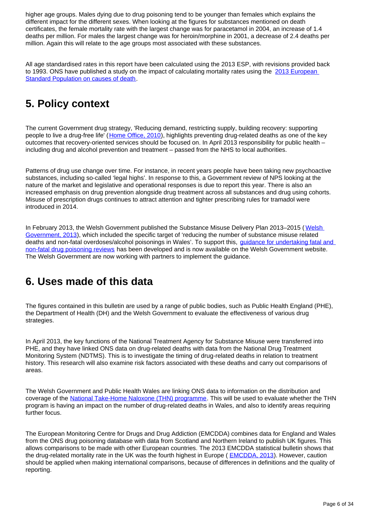higher age groups. Males dying due to drug poisoning tend to be younger than females which explains the different impact for the different sexes. When looking at the figures for substances mentioned on death certificates, the female mortality rate with the largest change was for paracetamol in 2004, an increase of 1.4 deaths per million. For males the largest change was for heroin/morphine in 2001, a decrease of 2.4 deaths per million. Again this will relate to the age groups most associated with these substances.

All age standardised rates in this report have been calculated using the 2013 ESP, with revisions provided back to 1993. ONS have published a study on the impact of calculating mortality rates using the 2013 European [Standard Population on causes of death](http://www.ons.gov.uk/ons/guide-method/user-guidance/health-and-life-events/revised-european-standard-population-2013--2013-esp-/index.html).

## <span id="page-5-0"></span>**5. Policy context**

The current Government drug strategy, 'Reducing demand, restricting supply, building recovery: supporting people to live a drug-free life' ([Home Office, 2010\)](https://www.gov.uk/government/uploads/system/uploads/attachment_data/file/98026/drug-strategy-2010.pdf), highlights preventing drug-related deaths as one of the key outcomes that recovery-oriented services should be focused on. In April 2013 responsibility for public health – including drug and alcohol prevention and treatment – passed from the NHS to local authorities.

Patterns of drug use change over time. For instance, in recent years people have been taking new psychoactive substances, including so-called 'legal highs'. In response to this, a Government review of NPS looking at the nature of the market and legislative and operational responses is due to report this year. There is also an increased emphasis on drug prevention alongside drug treatment across all substances and drug using cohorts. Misuse of prescription drugs continues to attract attention and tighter prescribing rules for tramadol were introduced in 2014.

In February 2013, the [Welsh](http://wales.gov.uk/topics/housingandcommunity/safety/substancemisuse/publications/dplan/?lang=en) Government published the Substance Misuse Delivery Plan 2013–2015 (Welsh [Government, 2013\)](http://wales.gov.uk/topics/housingandcommunity/safety/substancemisuse/publications/dplan/?lang=en), which included the specific target of 'reducing the number of substance misuse related deaths and non-fatal overdoses/alcohol poisonings in Wales'. To support this, *guidance for undertaking fatal and* [non-fatal drug poisoning reviews](http://www.wales.gov.uk/substancemisuse) has been developed and is now available on the Welsh Government website. The Welsh Government are now working with partners to implement the guidance.

### <span id="page-5-1"></span>**6. Uses made of this data**

The figures contained in this bulletin are used by a range of public bodies, such as Public Health England (PHE), the Department of Health (DH) and the Welsh Government to evaluate the effectiveness of various drug strategies.

In April 2013, the key functions of the National Treatment Agency for Substance Misuse were transferred into PHE, and they have linked ONS data on drug-related deaths with data from the National Drug Treatment Monitoring System (NDTMS). This is to investigate the timing of drug-related deaths in relation to treatment history. This research will also examine risk factors associated with these deaths and carry out comparisons of areas.

The Welsh Government and Public Health Wales are linking ONS data to information on the distribution and coverage of the [National Take-Home Naloxone \(THN\) programme](http://wales.gov.uk/about/aboutresearch/social/latestresearch/naloxoneproject/?lang=en). This will be used to evaluate whether the THN program is having an impact on the number of drug-related deaths in Wales, and also to identify areas requiring further focus.

The European Monitoring Centre for Drugs and Drug Addiction (EMCDDA) combines data for England and Wales from the ONS drug poisoning database with data from Scotland and Northern Ireland to publish UK figures. This allows comparisons to be made with other European countries. The 2013 EMCDDA statistical bulletin shows that the drug-related mortality rate in the UK was the fourth highest in Europe ( [EMCDDA, 2013\)](http://www.emcdda.europa.eu/stats13#drd:displayTables). However, caution should be applied when making international comparisons, because of differences in definitions and the quality of reporting.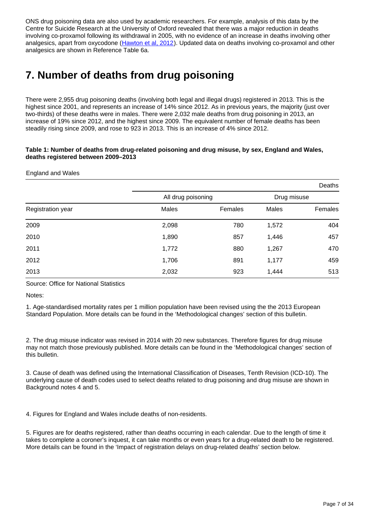ONS drug poisoning data are also used by academic researchers. For example, analysis of this data by the Centre for Suicide Research at the University of Oxford revealed that there was a major reduction in deaths involving co-proxamol following its withdrawal in 2005, with no evidence of an increase in deaths involving other analgesics, apart from oxycodone ([Hawton et al, 2012\)](http://www.plosmedicine.org/article/info%3Adoi%2F10.1371%2Fjournal.pmed.1001213). Updated data on deaths involving co-proxamol and other analgesics are shown in Reference Table 6a.

## <span id="page-6-0"></span>**7. Number of deaths from drug poisoning**

There were 2,955 drug poisoning deaths (involving both legal and illegal drugs) registered in 2013. This is the highest since 2001, and represents an increase of 14% since 2012. As in previous years, the majority (just over two-thirds) of these deaths were in males. There were 2,032 male deaths from drug poisoning in 2013, an increase of 19% since 2012, and the highest since 2009. The equivalent number of female deaths has been steadily rising since 2009, and rose to 923 in 2013. This is an increase of 4% since 2012.

### **Table 1: Number of deaths from drug-related poisoning and drug misuse, by sex, England and Wales, deaths registered between 2009–2013**

### England and Wales

|                   |                    |         |             | Deaths  |
|-------------------|--------------------|---------|-------------|---------|
|                   | All drug poisoning |         | Drug misuse |         |
| Registration year | Males              | Females | Males       | Females |
| 2009              | 2,098              | 780     | 1,572       | 404     |
| 2010              | 1,890              | 857     | 1,446       | 457     |
| 2011              | 1,772              | 880     | 1,267       | 470     |
| 2012              | 1,706              | 891     | 1,177       | 459     |
| 2013              | 2,032              | 923     | 1,444       | 513     |

Source: Office for National Statistics

Notes:

1. Age-standardised mortality rates per 1 million population have been revised using the the 2013 European Standard Population. More details can be found in the 'Methodological changes' section of this bulletin.

2. The drug misuse indicator was revised in 2014 with 20 new substances. Therefore figures for drug misuse may not match those previously published. More details can be found in the 'Methodological changes' section of this bulletin.

3. Cause of death was defined using the International Classification of Diseases, Tenth Revision (ICD-10). The underlying cause of death codes used to select deaths related to drug poisoning and drug misuse are shown in Background notes 4 and 5.

4. Figures for England and Wales include deaths of non-residents.

5. Figures are for deaths registered, rather than deaths occurring in each calendar. Due to the length of time it takes to complete a coroner's inquest, it can take months or even years for a drug-related death to be registered. More details can be found in the 'Impact of registration delays on drug-related deaths' section below.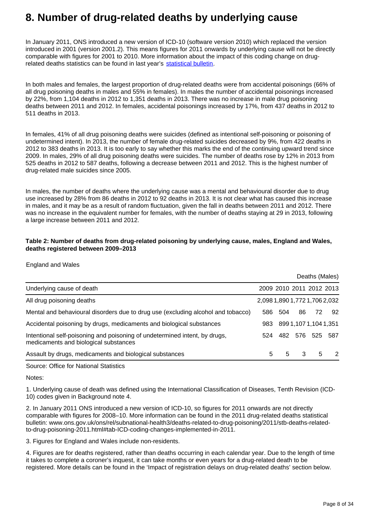### <span id="page-7-0"></span>**8. Number of drug-related deaths by underlying cause**

In January 2011, ONS introduced a new version of ICD-10 (software version 2010) which replaced the version introduced in 2001 (version 2001.2). This means figures for 2011 onwards by underlying cause will not be directly comparable with figures for 2001 to 2010. More information about the impact of this coding change on drugrelated deaths statistics can be found in last year's [statistical bulletin.](http://www.ons.gov.uk/ons/rel/subnational-health3/deaths-related-to-drug-poisoning/2012/stb---deaths-related-to-drug-poisoning-2012.html)

In both males and females, the largest proportion of drug-related deaths were from accidental poisonings (66% of all drug poisoning deaths in males and 55% in females). In males the number of accidental poisonings increased by 22%, from 1,104 deaths in 2012 to 1,351 deaths in 2013. There was no increase in male drug poisoning deaths between 2011 and 2012. In females, accidental poisonings increased by 17%, from 437 deaths in 2012 to 511 deaths in 2013.

In females, 41% of all drug poisoning deaths were suicides (defined as intentional self-poisoning or poisoning of undetermined intent). In 2013, the number of female drug-related suicides decreased by 9%, from 422 deaths in 2012 to 383 deaths in 2013. It is too early to say whether this marks the end of the continuing upward trend since 2009. In males, 29% of all drug poisoning deaths were suicides. The number of deaths rose by 12% in 2013 from 525 deaths in 2012 to 587 deaths, following a decrease between 2011 and 2012. This is the highest number of drug-related male suicides since 2005.

In males, the number of deaths where the underlying cause was a mental and behavioural disorder due to drug use increased by 28% from 86 deaths in 2012 to 92 deaths in 2013. It is not clear what has caused this increase in males, and it may be as a result of random fluctuation, given the fall in deaths between 2011 and 2012. There was no increase in the equivalent number for females, with the number of deaths staying at 29 in 2013, following a large increase between 2011 and 2012.

### **Table 2: Number of deaths from drug-related poisoning by underlying cause, males, England and Wales, deaths registered between 2009–2013**

England and Wales

|                                                                                                                     |                               |     |                       | Deaths (Males) |               |
|---------------------------------------------------------------------------------------------------------------------|-------------------------------|-----|-----------------------|----------------|---------------|
| Underlying cause of death                                                                                           | 2009 2010 2011 2012 2013      |     |                       |                |               |
| All drug poisoning deaths                                                                                           | 2,098 1,890 1,772 1,706 2,032 |     |                       |                |               |
| Mental and behavioural disorders due to drug use (excluding alcohol and tobacco)                                    | 586                           | 504 | 86                    | 72             | 92            |
| Accidental poisoning by drugs, medicaments and biological substances                                                | 983                           |     | 899 1,107 1,104 1,351 |                |               |
| Intentional self-poisoning and poisoning of undetermined intent, by drugs,<br>medicaments and biological substances | 524                           | 482 | 576                   | 525 587        |               |
| Assault by drugs, medicaments and biological substances                                                             | 5                             | 5   | 3                     | 5              | $\mathcal{P}$ |

Source: Office for National Statistics

Notes:

1. Underlying cause of death was defined using the International Classification of Diseases, Tenth Revision (ICD-10) codes given in Background note 4.

2. In January 2011 ONS introduced a new version of ICD-10, so figures for 2011 onwards are not directly comparable with figures for 2008–10. More information can be found in the 2011 drug-related deaths statistical bulletin: www.ons.gov.uk/ons/rel/subnational-health3/deaths-related-to-drug-poisoning/2011/stb-deaths-relatedto-drug-poisoning-2011.html#tab-ICD-coding-changes-implemented-in-2011.

3. Figures for England and Wales include non-residents.

4. Figures are for deaths registered, rather than deaths occurring in each calendar year. Due to the length of time it takes to complete a coroner's inquest, it can take months or even years for a drug-related death to be registered. More details can be found in the 'Impact of registration delays on drug-related deaths' section below.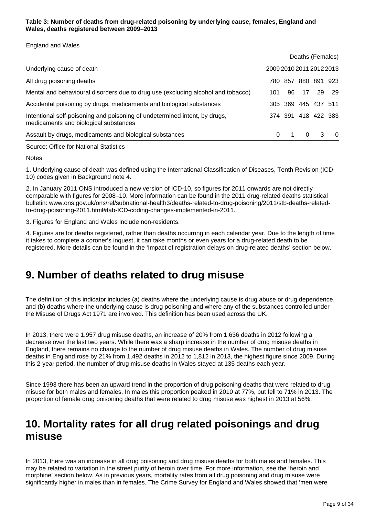### **Table 3: Number of deaths from drug-related poisoning by underlying cause, females, England and Wales, deaths registered between 2009–2013**

England and Wales

|                                                                                                                     |                          |     | Deaths (Females)        |    |      |
|---------------------------------------------------------------------------------------------------------------------|--------------------------|-----|-------------------------|----|------|
| Underlying cause of death                                                                                           | 2009 2010 2011 2012 2013 |     |                         |    |      |
| All drug poisoning deaths                                                                                           | 780-                     | 857 | 880 891 923             |    |      |
| Mental and behavioural disorders due to drug use (excluding alcohol and tobacco)                                    | 101                      | 96. | 17                      | 29 | - 29 |
| Accidental poisoning by drugs, medicaments and biological substances                                                |                          |     | 305 369 445 437 511     |    |      |
| Intentional self-poisoning and poisoning of undetermined intent, by drugs,<br>medicaments and biological substances |                          |     | 374 391 418 422 383     |    |      |
| Assault by drugs, medicaments and biological substances                                                             | $\Omega$                 |     | $\overline{\mathbf{0}}$ | -3 | - 0  |

Source: Office for National Statistics

Notes:

1. Underlying cause of death was defined using the International Classification of Diseases, Tenth Revision (ICD-10) codes given in Background note 4.

2. In January 2011 ONS introduced a new version of ICD-10, so figures for 2011 onwards are not directly comparable with figures for 2008–10. More information can be found in the 2011 drug-related deaths statistical bulletin: www.ons.gov.uk/ons/rel/subnational-health3/deaths-related-to-drug-poisoning/2011/stb-deaths-relatedto-drug-poisoning-2011.html#tab-ICD-coding-changes-implemented-in-2011.

3. Figures for England and Wales include non-residents.

4. Figures are for deaths registered, rather than deaths occurring in each calendar year. Due to the length of time it takes to complete a coroner's inquest, it can take months or even years for a drug-related death to be registered. More details can be found in the 'Impact of registration delays on drug-related deaths' section below.

### <span id="page-8-0"></span>**9. Number of deaths related to drug misuse**

The definition of this indicator includes (a) deaths where the underlying cause is drug abuse or drug dependence, and (b) deaths where the underlying cause is drug poisoning and where any of the substances controlled under the Misuse of Drugs Act 1971 are involved. This definition has been used across the UK.

In 2013, there were 1,957 drug misuse deaths, an increase of 20% from 1,636 deaths in 2012 following a decrease over the last two years. While there was a sharp increase in the number of drug misuse deaths in England, there remains no change to the number of drug misuse deaths in Wales. The number of drug misuse deaths in England rose by 21% from 1,492 deaths in 2012 to 1,812 in 2013, the highest figure since 2009. During this 2-year period, the number of drug misuse deaths in Wales stayed at 135 deaths each year.

Since 1993 there has been an upward trend in the proportion of drug poisoning deaths that were related to drug misuse for both males and females. In males this proportion peaked in 2010 at 77%, but fell to 71% in 2013. The proportion of female drug poisoning deaths that were related to drug misuse was highest in 2013 at 56%.

### <span id="page-8-1"></span>**10. Mortality rates for all drug related poisonings and drug misuse**

In 2013, there was an increase in all drug poisoning and drug misuse deaths for both males and females. This may be related to variation in the street purity of heroin over time. For more information, see the 'heroin and morphine' section below. As in previous years, mortality rates from all drug poisoning and drug misuse were significantly higher in males than in females. The Crime Survey for England and Wales showed that 'men were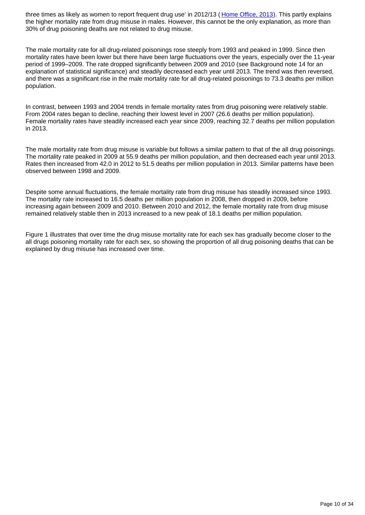three times as likely as women to report frequent drug use' in 2012/13 ([Home Office, 2013\)](http://www.gov.uk/government/publications/drug-misuse-findings-from-the-2012-to-2013-csew/drug-misuse-findings-from-the-2012-to-2013-crime-survey-for-england-and-wales). This partly explains the higher mortality rate from drug misuse in males. However, this cannot be the only explanation, as more than 30% of drug poisoning deaths are not related to drug misuse.

The male mortality rate for all drug-related poisonings rose steeply from 1993 and peaked in 1999. Since then mortality rates have been lower but there have been large fluctuations over the years, especially over the 11-year period of 1999–2009. The rate dropped significantly between 2009 and 2010 (see Background note 14 for an explanation of statistical significance) and steadily decreased each year until 2013. The trend was then reversed, and there was a significant rise in the male mortality rate for all drug-related poisonings to 73.3 deaths per million population.

In contrast, between 1993 and 2004 trends in female mortality rates from drug poisoning were relatively stable. From 2004 rates began to decline, reaching their lowest level in 2007 (26.6 deaths per million population). Female mortality rates have steadily increased each year since 2009, reaching 32.7 deaths per million population in 2013.

The male mortality rate from drug misuse is variable but follows a similar pattern to that of the all drug poisonings. The mortality rate peaked in 2009 at 55.9 deaths per million population, and then decreased each year until 2013. Rates then increased from 42.0 in 2012 to 51.5 deaths per million population in 2013. Similar patterns have been observed between 1998 and 2009.

Despite some annual fluctuations, the female mortality rate from drug misuse has steadily increased since 1993. The mortality rate increased to 16.5 deaths per million population in 2008, then dropped in 2009, before increasing again between 2009 and 2010. Between 2010 and 2012, the female mortality rate from drug misuse remained relatively stable then in 2013 increased to a new peak of 18.1 deaths per million population.

Figure 1 illustrates that over time the drug misuse mortality rate for each sex has gradually become closer to the all drugs poisoning mortality rate for each sex, so showing the proportion of all drug poisoning deaths that can be explained by drug misuse has increased over time.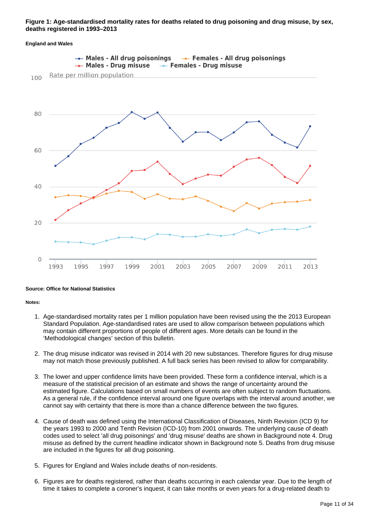### **Figure 1: Age-standardised mortality rates for deaths related to drug poisoning and drug misuse, by sex, deaths registered in 1993–2013**

#### **England and Wales**



#### **Source: Office for National Statistics**

#### **Notes:**

- 1. Age-standardised mortality rates per 1 million population have been revised using the the 2013 European Standard Population. Age-standardised rates are used to allow comparison between populations which may contain different proportions of people of different ages. More details can be found in the 'Methodological changes' section of this bulletin.
- 2. The drug misuse indicator was revised in 2014 with 20 new substances. Therefore figures for drug misuse may not match those previously published. A full back series has been revised to allow for comparability.
- 3. The lower and upper confidence limits have been provided. These form a confidence interval, which is a measure of the statistical precision of an estimate and shows the range of uncertainty around the estimated figure. Calculations based on small numbers of events are often subject to random fluctuations. As a general rule, if the confidence interval around one figure overlaps with the interval around another, we cannot say with certainty that there is more than a chance difference between the two figures.
- 4. Cause of death was defined using the International Classification of Diseases, Ninth Revision (ICD 9) for the years 1993 to 2000 and Tenth Revision (ICD-10) from 2001 onwards. The underlying cause of death codes used to select 'all drug poisonings' and 'drug misuse' deaths are shown in Background note 4. Drug misuse as defined by the current headline indicator shown in Background note 5. Deaths from drug misuse are included in the figures for all drug poisoning.
- 5. Figures for England and Wales include deaths of non-residents.
- 6. Figures are for deaths registered, rather than deaths occurring in each calendar year. Due to the length of time it takes to complete a coroner's inquest, it can take months or even years for a drug-related death to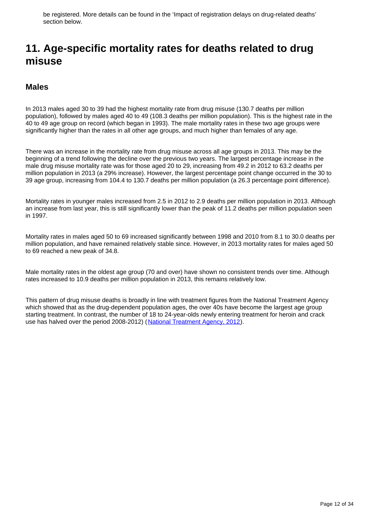be registered. More details can be found in the 'Impact of registration delays on drug-related deaths' section below.

### <span id="page-11-0"></span>**11. Age-specific mortality rates for deaths related to drug misuse**

### **Males**

In 2013 males aged 30 to 39 had the highest mortality rate from drug misuse (130.7 deaths per million population), followed by males aged 40 to 49 (108.3 deaths per million population). This is the highest rate in the 40 to 49 age group on record (which began in 1993). The male mortality rates in these two age groups were significantly higher than the rates in all other age groups, and much higher than females of any age.

There was an increase in the mortality rate from drug misuse across all age groups in 2013. This may be the beginning of a trend following the decline over the previous two years. The largest percentage increase in the male drug misuse mortality rate was for those aged 20 to 29, increasing from 49.2 in 2012 to 63.2 deaths per million population in 2013 (a 29% increase). However, the largest percentage point change occurred in the 30 to 39 age group, increasing from 104.4 to 130.7 deaths per million population (a 26.3 percentage point difference).

Mortality rates in younger males increased from 2.5 in 2012 to 2.9 deaths per million population in 2013. Although an increase from last year, this is still significantly lower than the peak of 11.2 deaths per million population seen in 1997.

Mortality rates in males aged 50 to 69 increased significantly between 1998 and 2010 from 8.1 to 30.0 deaths per million population, and have remained relatively stable since. However, in 2013 mortality rates for males aged 50 to 69 reached a new peak of 34.8.

Male mortality rates in the oldest age group (70 and over) have shown no consistent trends over time. Although rates increased to 10.9 deaths per million population in 2013, this remains relatively low.

This pattern of drug misuse deaths is broadly in line with treatment figures from the National Treatment Agency which showed that as the drug-dependent population ages, the over 40s have become the largest age group starting treatment. In contrast, the number of 18 to 24-year-olds newly entering treatment for heroin and crack use has halved over the period 2008-2012) ([National Treatment Agency, 2012](http://www.nta.nhs.uk/uploads/dtie2012v1.pdf)).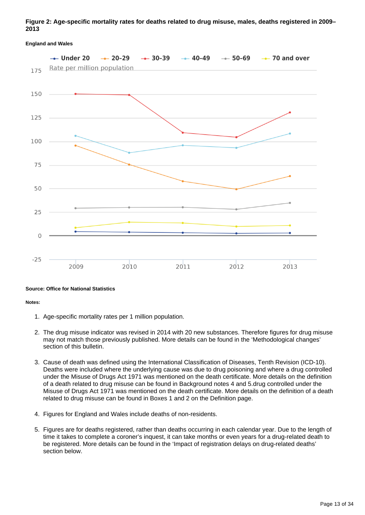### **Figure 2: Age-specific mortality rates for deaths related to drug misuse, males, deaths registered in 2009– 2013**

### $-20-29$  $-$  70 and over  $-$  Under 20  $- 30 - 39$  $-40-49$  $-$  50-69 Rate per million population 175 150 125 100 75 50 25  $\bigcap$  $-25$ 2009  $2010$ 2011 2013 2012

#### **England and Wales**

#### **Source: Office for National Statistics**

#### **Notes:**

- 1. Age-specific mortality rates per 1 million population.
- 2. The drug misuse indicator was revised in 2014 with 20 new substances. Therefore figures for drug misuse may not match those previously published. More details can be found in the 'Methodological changes' section of this bulletin.
- 3. Cause of death was defined using the International Classification of Diseases, Tenth Revision (ICD-10). Deaths were included where the underlying cause was due to drug poisoning and where a drug controlled under the Misuse of Drugs Act 1971 was mentioned on the death certificate. More details on the definition of a death related to drug misuse can be found in Background notes 4 and 5.drug controlled under the Misuse of Drugs Act 1971 was mentioned on the death certificate. More details on the definition of a death related to drug misuse can be found in Boxes 1 and 2 on the Definition page.
- 4. Figures for England and Wales include deaths of non-residents.
- 5. Figures are for deaths registered, rather than deaths occurring in each calendar year. Due to the length of time it takes to complete a coroner's inquest, it can take months or even years for a drug-related death to be registered. More details can be found in the 'Impact of registration delays on drug-related deaths' section below.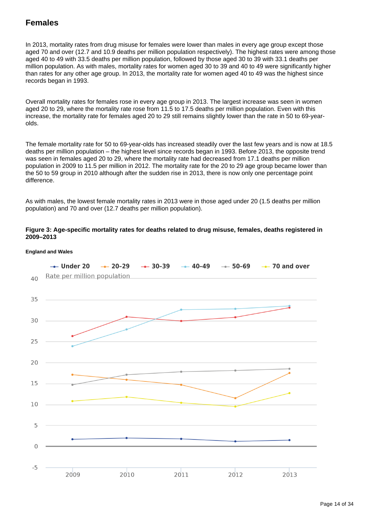### **Females**

In 2013, mortality rates from drug misuse for females were lower than males in every age group except those aged 70 and over (12.7 and 10.9 deaths per million population respectively). The highest rates were among those aged 40 to 49 with 33.5 deaths per million population, followed by those aged 30 to 39 with 33.1 deaths per million population. As with males, mortality rates for women aged 30 to 39 and 40 to 49 were significantly higher than rates for any other age group. In 2013, the mortality rate for women aged 40 to 49 was the highest since records began in 1993.

Overall mortality rates for females rose in every age group in 2013. The largest increase was seen in women aged 20 to 29, where the mortality rate rose from 11.5 to 17.5 deaths per million population. Even with this increase, the mortality rate for females aged 20 to 29 still remains slightly lower than the rate in 50 to 69-yearolds.

The female mortality rate for 50 to 69-year-olds has increased steadily over the last few years and is now at 18.5 deaths per million population – the highest level since records began in 1993. Before 2013, the opposite trend was seen in females aged 20 to 29, where the mortality rate had decreased from 17.1 deaths per million population in 2009 to 11.5 per million in 2012. The mortality rate for the 20 to 29 age group became lower than the 50 to 59 group in 2010 although after the sudden rise in 2013, there is now only one percentage point difference.

As with males, the lowest female mortality rates in 2013 were in those aged under 20 (1.5 deaths per million population) and 70 and over (12.7 deaths per million population).

### **Figure 3: Age-specific mortality rates for deaths related to drug misuse, females, deaths registered in 2009–2013**



### **England and Wales**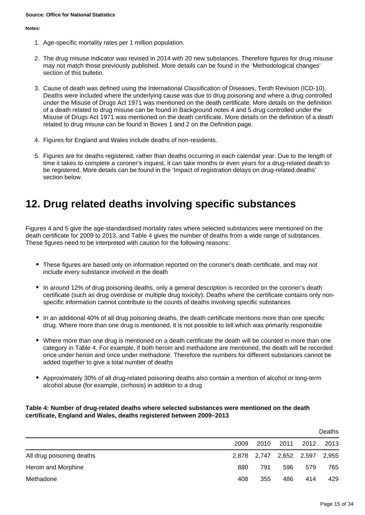#### **Notes:**

- 1. Age-specific mortality rates per 1 million population.
- 2. The drug misuse indicator was revised in 2014 with 20 new substances. Therefore figures for drug misuse may not match those previously published. More details can be found in the 'Methodological changes' section of this bulletin.
- 3. Cause of death was defined using the International Classification of Diseases, Tenth Revision (ICD-10). Deaths were included where the underlying cause was due to drug poisoning and where a drug controlled under the Misuse of Drugs Act 1971 was mentioned on the death certificate. More details on the definition of a death related to drug misuse can be found in Background notes 4 and 5.drug controlled under the Misuse of Drugs Act 1971 was mentioned on the death certificate. More details on the definition of a death related to drug misuse can be found in Boxes 1 and 2 on the Definition page.
- 4. Figures for England and Wales include deaths of non-residents.
- 5. Figures are for deaths registered, rather than deaths occurring in each calendar year. Due to the length of time it takes to complete a coroner's inquest, it can take months or even years for a drug-related death to be registered. More details can be found in the 'Impact of registration delays on drug-related deaths' section below.

### <span id="page-14-0"></span>**12. Drug related deaths involving specific substances**

Figures 4 and 5 give the age-standardised mortality rates where selected substances were mentioned on the death certificate for 2009 to 2013, and Table 4 gives the number of deaths from a wide range of substances. These figures need to be interpreted with caution for the following reasons:

- These figures are based only on information reported on the coroner's death certificate, and may not include every substance involved in the death
- In around 12% of drug poisoning deaths, only a general description is recorded on the coroner's death certificate (such as drug overdose or multiple drug toxicity). Deaths where the certificate contains only nonspecific information cannot contribute to the counts of deaths involving specific substances
- In an additional 40% of all drug poisoning deaths, the death certificate mentions more than one specific drug. Where more than one drug is mentioned, it is not possible to tell which was primarily responsible
- Where more than one drug is mentioned on a death certificate the death will be counted in more than one category in Table 4. For example, if both heroin and methadone are mentioned, the death will be recorded once under heroin and once under methadone. Therefore the numbers for different substances cannot be added together to give a total number of deaths
- Approximately 30% of all drug-related poisoning deaths also contain a mention of alcohol or long-term alcohol abuse (for example, cirrhosis) in addition to a drug

### **Table 4: Number of drug-related deaths where selected substances were mentioned on the death certificate, England and Wales, deaths registered between 2009–2013**

|                           |      |                         |      |      | Deaths |
|---------------------------|------|-------------------------|------|------|--------|
|                           | 2009 | 2010                    | 2011 | 2012 | 2013   |
| All drug poisoning deaths |      | 2,878 2,747 2,652 2,597 |      |      | 2,955  |
| Heroin and Morphine       | 880  | 791                     | 596  | 579  | 765    |
| Methadone                 | 408  | 355                     | 486  | 414  | 429    |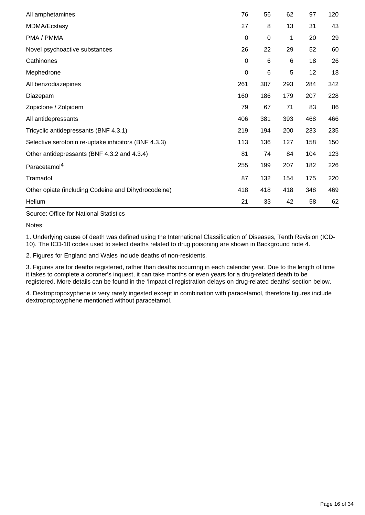| All amphetamines                                     | 76               | 56  | 62  | 97  | 120 |
|------------------------------------------------------|------------------|-----|-----|-----|-----|
| MDMA/Ecstasy                                         | 27               | 8   | 13  | 31  | 43  |
| PMA / PMMA                                           | 0                | 0   | 1   | 20  | 29  |
| Novel psychoactive substances                        | 26               | 22  | 29  | 52  | 60  |
| Cathinones                                           | $\mathbf 0$      | 6   | 6   | 18  | 26  |
| Mephedrone                                           | $\boldsymbol{0}$ | 6   | 5   | 12  | 18  |
| All benzodiazepines                                  | 261              | 307 | 293 | 284 | 342 |
| Diazepam                                             | 160              | 186 | 179 | 207 | 228 |
| Zopiclone / Zolpidem                                 | 79               | 67  | 71  | 83  | 86  |
| All antidepressants                                  | 406              | 381 | 393 | 468 | 466 |
| Tricyclic antidepressants (BNF 4.3.1)                | 219              | 194 | 200 | 233 | 235 |
| Selective serotonin re-uptake inhibitors (BNF 4.3.3) | 113              | 136 | 127 | 158 | 150 |
| Other antidepressants (BNF 4.3.2 and 4.3.4)          | 81               | 74  | 84  | 104 | 123 |
| Paracetamol <sup>4</sup>                             | 255              | 199 | 207 | 182 | 226 |
| Tramadol                                             | 87               | 132 | 154 | 175 | 220 |
| Other opiate (including Codeine and Dihydrocodeine)  | 418              | 418 | 418 | 348 | 469 |
| Helium                                               | 21               | 33  | 42  | 58  | 62  |

Source: Office for National Statistics

Notes:

1. Underlying cause of death was defined using the International Classification of Diseases, Tenth Revision (ICD-10). The ICD-10 codes used to select deaths related to drug poisoning are shown in Background note 4.

2. Figures for England and Wales include deaths of non-residents.

3. Figures are for deaths registered, rather than deaths occurring in each calendar year. Due to the length of time it takes to complete a coroner's inquest, it can take months or even years for a drug-related death to be registered. More details can be found in the 'Impact of registration delays on drug-related deaths' section below.

4. Dextropropoxyphene is very rarely ingested except in combination with paracetamol, therefore figures include dextropropoxyphene mentioned without paracetamol.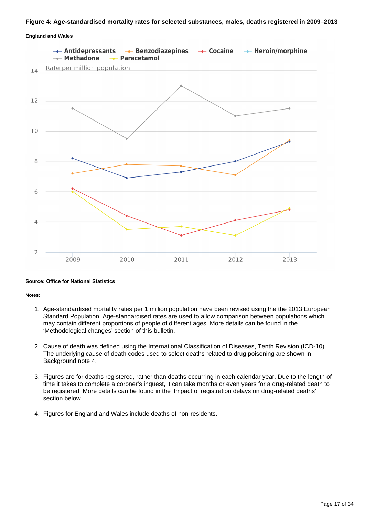#### **Figure 4: Age-standardised mortality rates for selected substances, males, deaths registered in 2009–2013**

### **England and Wales**



#### **Source: Office for National Statistics**

**Notes:**

- 1. Age-standardised mortality rates per 1 million population have been revised using the the 2013 European Standard Population. Age-standardised rates are used to allow comparison between populations which may contain different proportions of people of different ages. More details can be found in the 'Methodological changes' section of this bulletin.
- 2. Cause of death was defined using the International Classification of Diseases, Tenth Revision (ICD-10). The underlying cause of death codes used to select deaths related to drug poisoning are shown in Background note 4.
- 3. Figures are for deaths registered, rather than deaths occurring in each calendar year. Due to the length of time it takes to complete a coroner's inquest, it can take months or even years for a drug-related death to be registered. More details can be found in the 'Impact of registration delays on drug-related deaths' section below.
- 4. Figures for England and Wales include deaths of non-residents.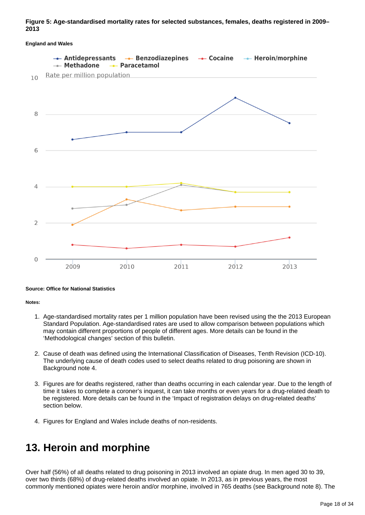### **Figure 5: Age-standardised mortality rates for selected substances, females, deaths registered in 2009– 2013**

#### **England and Wales**



#### **Source: Office for National Statistics**

**Notes:**

- 1. Age-standardised mortality rates per 1 million population have been revised using the the 2013 European Standard Population. Age-standardised rates are used to allow comparison between populations which may contain different proportions of people of different ages. More details can be found in the 'Methodological changes' section of this bulletin.
- 2. Cause of death was defined using the International Classification of Diseases, Tenth Revision (ICD-10). The underlying cause of death codes used to select deaths related to drug poisoning are shown in Background note 4.
- 3. Figures are for deaths registered, rather than deaths occurring in each calendar year. Due to the length of time it takes to complete a coroner's inquest, it can take months or even years for a drug-related death to be registered. More details can be found in the 'Impact of registration delays on drug-related deaths' section below.
- 4. Figures for England and Wales include deaths of non-residents.

### <span id="page-17-0"></span>**13. Heroin and morphine**

Over half (56%) of all deaths related to drug poisoning in 2013 involved an opiate drug. In men aged 30 to 39, over two thirds (68%) of drug-related deaths involved an opiate. In 2013, as in previous years, the most commonly mentioned opiates were heroin and/or morphine, involved in 765 deaths (see Background note 8). The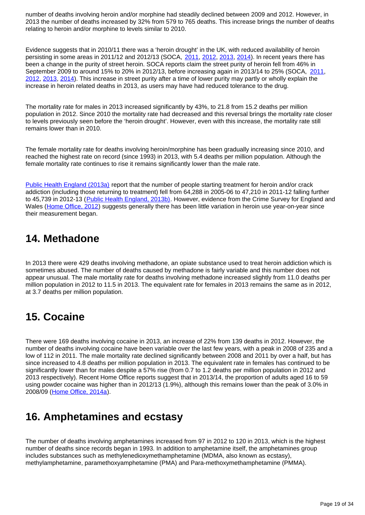number of deaths involving heroin and/or morphine had steadily declined between 2009 and 2012. However, in 2013 the number of deaths increased by 32% from 579 to 765 deaths. This increase brings the number of deaths relating to heroin and/or morphine to levels similar to 2010.

Evidence suggests that in 2010/11 there was a 'heroin drought' in the UK, with reduced availability of heroin persisting in some areas in [2011](https://www.gov.uk/government/publications/serious-organised-crime-agency-annual-report-and-accounts-2010-to-2011)/12 and 2012/13 (SOCA, 2011, [2012,](https://www.gov.uk/government/publications/serious-organised-crime-agency-annual-report-and-accounts-2011-to-2012) [2013,](https://www.gov.uk/government/publications/serious-organised-crime-agency-annual-report-and-accounts-2012-to-2013) [2014](https://www.gov.uk/government/publications/serious-organised-crime-agency-annual-report-2013-to-2014)). In recent years there has been a change in the purity of street heroin. SOCA reports claim the street purity of heroin fell from 46% in September 2009 to around 15% to 20% in 2012/13, before increasing again in 2013/14 to 25% (SOCA, [2011](http://www.ons.gov.uk/ons/rel/subnational-health3/deaths-related-to-drug-poisoning/england-and-wales---2013/%20https://www.gov.uk/government/publications/serious-organised-crime-agency-annual-report-and-accounts-2010-to-2011), [2012](https://www.gov.uk/government/publications/serious-organised-crime-agency-annual-report-and-accounts-2011-to-2012), [2013,](https://www.gov.uk/government/publications/serious-organised-crime-agency-annual-report-and-accounts-2012-to-2013) [2014\)](https://www.gov.uk/government/publications/serious-organised-crime-agency-annual-report-2013-to-2014). This increase in street purity after a time of lower purity may partly or wholly explain the increase in heroin related deaths in 2013, as users may have had reduced tolerance to the drug.

The mortality rate for males in 2013 increased significantly by 43%, to 21.8 from 15.2 deaths per million population in 2012. Since 2010 the mortality rate had decreased and this reversal brings the mortality rate closer to levels previously seen before the 'heroin drought'. However, even with this increase, the mortality rate still remains lower than in 2010.

The female mortality rate for deaths involving heroin/morphine has been gradually increasing since 2010, and reached the highest rate on record (since 1993) in 2013, with 5.4 deaths per million population. Although the female mortality rate continues to rise it remains significantly lower than the male rate.

[Public Health England \(2013a\)](http://www.nta.nhs.uk/uploads/prevalence-commentary.pdf) report that the number of people starting treatment for heroin and/or crack addiction (including those returning to treatment) fell from 64,288 in 2005-06 to 47,210 in 2011-12 falling further to 45,739 in 2012-13 ([Public Health England, 2013b\).](http://www.nta.nhs.uk/uploads/adultstats2012-13.pdf) However, evidence from the Crime Survey for England and Wales ([Home Office, 2012\)](https://www.gov.uk/government/publications/drug-misuse-declared-findings-from-the-2011-12-crime-survey-for-england-and-wales--2) suggests generally there has been little variation in heroin use year-on-year since their measurement began.

### <span id="page-18-0"></span>**14. Methadone**

In 2013 there were 429 deaths involving methadone, an opiate substance used to treat heroin addiction which is sometimes abused. The number of deaths caused by methadone is fairly variable and this number does not appear unusual. The male mortality rate for deaths involving methadone increased slightly from 11.0 deaths per million population in 2012 to 11.5 in 2013. The equivalent rate for females in 2013 remains the same as in 2012, at 3.7 deaths per million population.

### <span id="page-18-1"></span>**15. Cocaine**

There were 169 deaths involving cocaine in 2013, an increase of 22% from 139 deaths in 2012. However, the number of deaths involving cocaine have been variable over the last few years, with a peak in 2008 of 235 and a low of 112 in 2011. The male mortality rate declined significantly between 2008 and 2011 by over a half, but has since increased to 4.8 deaths per million population in 2013. The equivalent rate in females has continued to be significantly lower than for males despite a 57% rise (from 0.7 to 1.2 deaths per million population in 2012 and 2013 respectively). Recent Home Office reports suggest that in 2013/14, the proportion of adults aged 16 to 59 using powder cocaine was higher than in 2012/13 (1.9%), although this remains lower than the peak of 3.0% in 2008/09 ([Home Office, 2014a\)](https://www.gov.uk/government/publications/drug-misuse-findings-from-the-2013-to-2014-csew/drug-misuse-findings-from-the-201314-crime-survey-for-england-and-wales).

### <span id="page-18-2"></span>**16. Amphetamines and ecstasy**

The number of deaths involving amphetamines increased from 97 in 2012 to 120 in 2013, which is the highest number of deaths since records began in 1993. In addition to amphetamine itself, the amphetamines group includes substances such as methylenedioxymethamphetamine (MDMA, also known as ecstasy), methylamphetamine, paramethoxyamphetamine (PMA) and Para-methoxymethamphetamine (PMMA).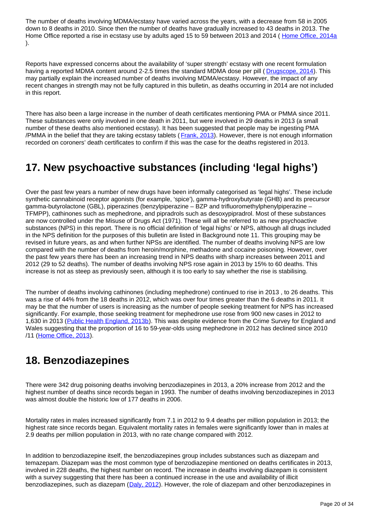The number of deaths involving MDMA/ecstasy have varied across the years, with a decrease from 58 in 2005 down to 8 deaths in 2010. Since then the number of deaths have gradually increased to 43 deaths in 2013. The Home Office reported a rise in ecstasy use by adults aged 15 to 59 between 2013 and 2014 ([Home Office, 2014a](https://www.gov.uk/government/publications/drug-misuse-findings-from-the-2013-to-2014-csew/drug-misuse-findings-from-the-201314-crime-survey-for-england-and-wales) ).

Reports have expressed concerns about the availability of 'super strength' ecstasy with one recent formulation having a reported MDMA content around 2-2.5 times the standard MDMA dose per pill ([Drugscope, 2014](http://www.drugscope.org.uk/Resources/Drugscope/Documents/PDF/Policy/BusinessAsUsual.pdf)). This may partially explain the increased number of deaths involving MDMA/ecstasy. However, the impact of any recent changes in strength may not be fully captured in this bulletin, as deaths occurring in 2014 are not included in this report.

There has also been a large increase in the number of death certificates mentioning PMA or PMMA since 2011. These substances were only involved in one death in 2011, but were involved in 29 deaths in 2013 (a small number of these deaths also mentioned ecstasy). It has been suggested that people may be ingesting PMA /PMMA in the belief that they are taking ecstasy tablets ( [Frank, 2013\)](http://www.talktofrank.com/news/what-pma). However, there is not enough information recorded on coroners' death certificates to confirm if this was the case for the deaths registered in 2013.

### <span id="page-19-0"></span>**17. New psychoactive substances (including 'legal highs')**

Over the past few years a number of new drugs have been informally categorised as 'legal highs'. These include synthetic cannabinoid receptor agonists (for example, 'spice'), gamma-hydroxybutyrate (GHB) and its precursor gamma-butyrolactone (GBL), piperazines (benzylpiperazine – BZP and trifluoromethylphenylpiperazine – TFMPP), cathinones such as mephedrone, and pipradrols such as desoxypipradrol. Most of these substances are now controlled under the Misuse of Drugs Act (1971). These will all be referred to as new psychoactive substances (NPS) in this report. There is no official definition of 'legal highs' or NPS, although all drugs included in the NPS definition for the purposes of this bulletin are listed in Background note 11. This grouping may be revised in future years, as and when further NPSs are identified. The number of deaths involving NPS are low compared with the number of deaths from heroin/morphine, methadone and cocaine poisoning. However, over the past few years there has been an increasing trend in NPS deaths with sharp increases between 2011 and 2012 (29 to 52 deaths). The number of deaths involving NPS rose again in 2013 by 15% to 60 deaths. This increase is not as steep as previously seen, although it is too early to say whether the rise is stabilising.

The number of deaths involving cathinones (including mephedrone) continued to rise in 2013 , to 26 deaths. This was a rise of 44% from the 18 deaths in 2012, which was over four times greater than the 6 deaths in 2011. It may be that the number of users is increasing as the number of people seeking treatment for NPS has increased significantly. For example, those seeking treatment for mephedrone use rose from 900 new cases in 2012 to 1,630 in 2013 [\(Public Health England, 2013b\)](http://www.nta.nhs.uk/uploads/adultstats2012-13.pdf). This was despite evidence from the Crime Survey for England and Wales suggesting that the proportion of 16 to 59-year-olds using mephedrone in 2012 has declined since 2010 /11 ([Home Office, 2013\)](http://www.gov.uk/government/publications/drug-misuse-findings-from-the-2012-to-2013-csew/drug-misuse-findings-from-the-2012-to-2013-crime-survey-for-england-and-wales).

### <span id="page-19-1"></span>**18. Benzodiazepines**

There were 342 drug poisoning deaths involving benzodiazepines in 2013, a 20% increase from 2012 and the highest number of deaths since records began in 1993. The number of deaths involving benzodiazepines in 2013 was almost double the historic low of 177 deaths in 2006.

Mortality rates in males increased significantly from 7.1 in 2012 to 9.4 deaths per million population in 2013; the highest rate since records began. Equivalent mortality rates in females were significantly lower than in males at 2.9 deaths per million population in 2013, with no rate change compared with 2012.

In addition to benzodiazepine itself, the benzodiazepines group includes substances such as diazepam and temazepam. Diazepam was the most common type of benzodiazepine mentioned on deaths certificates in 2013, involved in 228 deaths, the highest number on record. The increase in deaths involving diazepam is consistent with a survey suggesting that there has been a continued increase in the use and availability of illicit benzodiazepines, such as diazepam ([Daly, 2012](http://www.drugscope.org.uk/Resources/Drugscope/Documents/PDF/Publications/StreetDrugTrendsSurvey.pdf)). However, the role of diazepam and other benzodiazepines in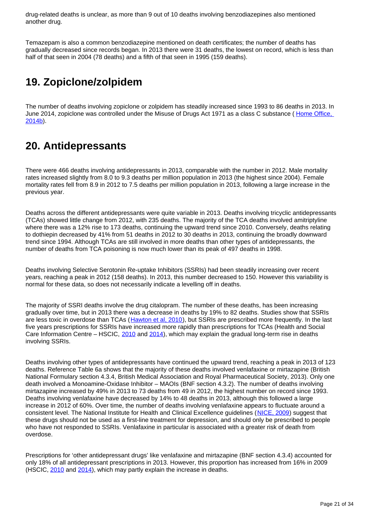drug-related deaths is unclear, as more than 9 out of 10 deaths involving benzodiazepines also mentioned another drug.

Temazepam is also a common benzodiazepine mentioned on death certificates; the number of deaths has gradually decreased since records began. In 2013 there were 31 deaths, the lowest on record, which is less than half of that seen in 2004 (78 deaths) and a fifth of that seen in 1995 (159 deaths).

## <span id="page-20-0"></span>**19. Zopiclone/zolpidem**

The number of deaths involving zopiclone or zolpidem has steadily increased since 1993 to 86 deaths in 2013. In June 2014, zopiclone was controlled under the Misuse of Drugs Act 1971 as a class C substance ( [Home Office,](https://www.gov.uk/search?q=Circular+008%2F2014%3A+changes+to+the+Misuse+of+Drugs+Act+1971)  [2014b\)](https://www.gov.uk/search?q=Circular+008%2F2014%3A+changes+to+the+Misuse+of+Drugs+Act+1971).

### <span id="page-20-1"></span>**20. Antidepressants**

There were 466 deaths involving antidepressants in 2013, comparable with the number in 2012. Male mortality rates increased slightly from 8.0 to 9.3 deaths per million population in 2013 (the highest since 2004). Female mortality rates fell from 8.9 in 2012 to 7.5 deaths per million population in 2013, following a large increase in the previous year.

Deaths across the different antidepressants were quite variable in 2013. Deaths involving tricyclic antidepressants (TCAs) showed little change from 2012, with 235 deaths. The majority of the TCA deaths involved amitriptyline where there was a 12% rise to 173 deaths, continuing the upward trend since 2010. Conversely, deaths relating to dothiepin decreased by 41% from 51 deaths in 2012 to 30 deaths in 2013, continuing the broadly downward trend since 1994. Although TCAs are still involved in more deaths than other types of antidepressants, the number of deaths from TCA poisoning is now much lower than its peak of 497 deaths in 1998.

Deaths involving Selective Serotonin Re-uptake Inhibitors (SSRIs) had been steadily increasing over recent years, reaching a peak in 2012 (158 deaths). In 2013, this number decreased to 150. However this variability is normal for these data, so does not necessarily indicate a levelling off in deaths.

The majority of SSRI deaths involve the drug citalopram. The number of these deaths, has been increasing gradually over time, but in 2013 there was a decrease in deaths by 19% to 82 deaths. Studies show that SSRIs are less toxic in overdose than TCAs ([Hawton et al, 2010\)](http://bjp.rcpsych.org/content/196/5/354.full.pdf), but SSRIs are prescribed more frequently. In the last five years prescriptions for SSRIs have increased more rapidly than prescriptions for TCAs (Health and Social Care Information Centre – HSCIC, [2010](http://www.hscic.gov.uk/catalogue/PUB01414/pres-cost-anal-eng-2009-tab.zip) and [2014](http://www.hscic.gov.uk/article/2021/Website-Search?productid=14494&q=Prescription+Cost+Analysis&sort=Relevance&size=10&page=1&area=both#top)), which may explain the gradual long-term rise in deaths involving SSRIs.

Deaths involving other types of antidepressants have continued the upward trend, reaching a peak in 2013 of 123 deaths. Reference Table 6a shows that the majority of these deaths involved venlafaxine or mirtazapine (British National Formulary section 4.3.4, British Medical Association and Royal Pharmaceutical Society, 2013). Only one death involved a Monoamine-Oxidase Inhibitor – MAOIs (BNF section 4.3.2). The number of deaths involving mirtazapine increased by 49% in 2013 to 73 deaths from 49 in 2012, the highest number on record since 1993. Deaths involving venlafaxine have decreased by 14% to 48 deaths in 2013, although this followed a large increase in 2012 of 60%. Over time, the number of deaths involving venlafaxine appears to fluctuate around a consistent level. The National Institute for Health and Clinical Excellence guidelines ([NICE, 2009](http://www.nice.org.uk/nicemedia/live/12329/45890/45890.pdf)) suggest that these drugs should not be used as a first-line treatment for depression, and should only be prescribed to people who have not responded to SSRIs. Venlafaxine in particular is associated with a greater risk of death from overdose.

Prescriptions for 'other antidepressant drugs' like venlafaxine and mirtazapine (BNF section 4.3.4) accounted for only 18% of all antidepressant prescriptions in 2013. However, this proportion has increased from 16% in 2009 (HSCIC, [2010](http://www.hscic.gov.uk/catalogue/PUB01414/pres-cost-anal-eng-2009-tab.zip) and [2014\)](http://www.hscic.gov.uk/article/2021/Website-Search?productid=14494&q=Prescription+Cost+Analysis&sort=Relevance&size=10&page=1&area=both#top), which may partly explain the increase in deaths.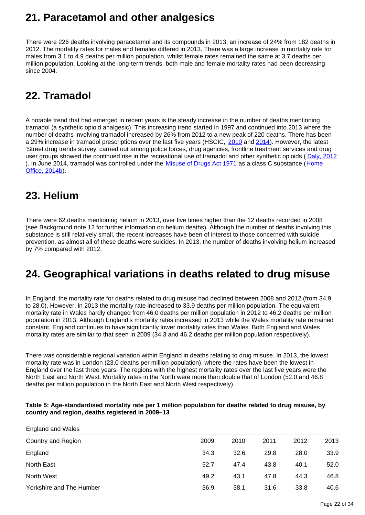### <span id="page-21-0"></span>**21. Paracetamol and other analgesics**

There were 226 deaths involving paracetamol and its compounds in 2013, an increase of 24% from 182 deaths in 2012. The mortality rates for males and females differed in 2013. There was a large increase in mortality rate for males from 3.1 to 4.9 deaths per million population, whilst female rates remained the same at 3.7 deaths per million population. Looking at the long-term trends, both male and female mortality rates had been decreasing since 2004.

## <span id="page-21-1"></span>**22. Tramadol**

A notable trend that had emerged in recent years is the steady increase in the number of deaths mentioning tramadol (a synthetic opioid analgesic). This increasing trend started in 1997 and continued into 2013 where the number of deaths involving tramadol increased by 26% from 2012 to a new peak of 220 deaths. There has been a 29% increase in tramadol prescriptions over the last five years (HSCIC, [2010](http://www.hscic.gov.uk/catalogue/PUB01414/pres-cost-anal-eng-2009-tab.zip) and [2014](http://www.hscic.gov.uk/article/2021/Website-Search?productid=14494&q=Prescription+Cost+Analysis&sort=Relevance&size=10&page=1&area=both#top)). However, the latest 'Street drug trends survey' carried out among police forces, drug agencies, frontline treatment services and drug user groups showed the continued rise in the recreational use of tramadol and other synthetic opioids ( [Daly, 2012](http://www.drugscope.org.uk/Resources/Drugscope/Documents/PDF/Publications/StreetDrugTrendsSurvey.pdf) ). In June 2014, tramadol was controlled under the [Misuse of Drugs Act 1971](http://www.legislation.gov.uk/ukpga/1971/38/contents) as a class C substance (Home [Office, 2014b](https://www.gov.uk/search?q=Circular+008%2F2014%3A+changes+to+the+Misuse+of+Drugs+Act+1971)).

## <span id="page-21-2"></span>**23. Helium**

There were 62 deaths mentioning helium in 2013, over five times higher than the 12 deaths recorded in 2008 (see Background note 12 for further information on helium deaths). Although the number of deaths involving this substance is still relatively small, the recent increases have been of interest to those concerned with suicide prevention, as almost all of these deaths were suicides. In 2013, the number of deaths involving helium increased by 7% compared with 2012.

### <span id="page-21-3"></span>**24. Geographical variations in deaths related to drug misuse**

In England, the mortality rate for deaths related to drug misuse had declined between 2008 and 2012 (from 34.9 to 28.0). However, in 2013 the mortality rate increased to 33.9 deaths per million population. The equivalent mortality rate in Wales hardly changed from 46.0 deaths per million population in 2012 to 46.2 deaths per million population in 2013. Although England's mortality rates increased in 2013 while the Wales mortality rate remained constant, England continues to have significantly lower mortality rates than Wales. Both England and Wales mortality rates are similar to that seen in 2009 (34.3 and 46.2 deaths per million population respectively).

There was considerable regional variation within England in deaths relating to drug misuse. In 2013, the lowest mortality rate was in London (23.0 deaths per million population), where the rates have been the lowest in England over the last three years. The regions with the highest mortality rates over the last five years were the North East and North West. Mortality rates in the North were more than double that of London (52.0 and 46.8 deaths per million population in the North East and North West respectively).

### **Table 5: Age-standardised mortality rate per 1 million population for deaths related to drug misuse, by country and region, deaths registered in 2009–13**

England and Wales

| Country and Region       | 2009 | 2010 | 2011 | 2012 | 2013 |
|--------------------------|------|------|------|------|------|
| England                  | 34.3 | 32.6 | 29.8 | 28.0 | 33.9 |
| North East               | 52.7 | 47.4 | 43.8 | 40.1 | 52.0 |
| North West               | 49.2 | 43.1 | 47.8 | 44.3 | 46.8 |
| Yorkshire and The Humber | 36.9 | 38.1 | 31.6 | 33.8 | 40.6 |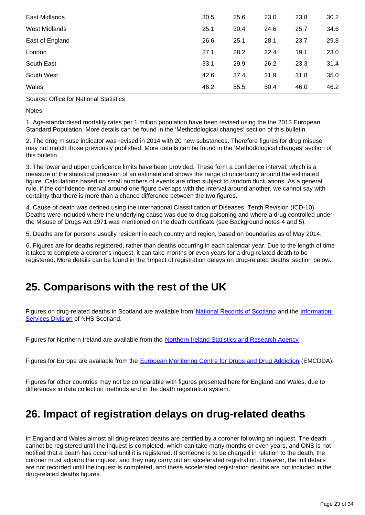| East Midlands   | 30.5 | 25.6 | 23.0 | 23.8 | 30.2 |
|-----------------|------|------|------|------|------|
| West Midlands   | 25.1 | 30.4 | 24.6 | 25.7 | 34.6 |
| East of England | 26.6 | 25.1 | 28.1 | 23.7 | 29.8 |
| London          | 27.1 | 28.2 | 22.4 | 19.1 | 23.0 |
| South East      | 33.1 | 29.9 | 26.2 | 23.3 | 31.4 |
| South West      | 42.6 | 37.4 | 31.9 | 31.8 | 35.0 |
| Wales           | 46.2 | 55.5 | 50.4 | 46.0 | 46.2 |

Source: Office for National Statistics

Notes:

1. Age-standardised mortality rates per 1 million population have been revised using the the 2013 European Standard Population. More details can be found in the 'Methodological changes' section of this bulletin.

2. The drug misuse indicator was revised in 2014 with 20 new substances. Therefore figures for drug misuse may not match those previously published. More details can be found in the 'Methodological changes' section of this bulletin.

3. The lower and upper confidence limits have been provided. These form a confidence interval, which is a measure of the statistical precision of an estimate and shows the range of uncertainty around the estimated figure. Calculations based on small numbers of events are often subject to random fluctuations. As a general rule, if the confidence interval around one figure overlaps with the interval around another, we cannot say with certainty that there is more than a chance difference between the two figures.

4. Cause of death was defined using the International Classification of Diseases, Tenth Revision (ICD-10). Deaths were included where the underlying cause was due to drug poisoning and where a drug controlled under the Misuse of Drugs Act 1971 was mentioned on the death certificate (see Background notes 4 and 5).

5. Deaths are for persons usually resident in each country and region, based on boundaries as of May 2014.

6. Figures are for deaths registered, rather than deaths occurring in each calendar year. Due to the length of time it takes to complete a coroner's inquest, it can take months or even years for a drug-related death to be registered. More details can be found in the 'Impact of registration delays on drug-related deaths' section below.

### <span id="page-22-0"></span>**25. Comparisons with the rest of the UK**

Figures on drug-related deaths in Scotland are available from [National Records of Scotland](http://www.gro-scotland.gov.uk/statistics/theme/vital-events/deaths/drug-related/index.html) and the Information [Services Division](http://www.isdscotland.org/Health-Topics/Drugs-and-Alcohol-Misuse/Publications/index.asp) of NHS Scotland.

Figures for Northern Ireland are available from the [Northern Ireland Statistics and Research Agency](http://www.nisra.gov.uk/demography/default.asp30.htm).

Figures for Europe are available from the [European Monitoring Centre for Drugs and Drug Addiction](http://www.emcdda.europa.eu/) (EMCDDA).

Figures for other countries may not be comparable with figures presented here for England and Wales, due to differences in data collection methods and in the death registration system.

### <span id="page-22-1"></span>**26. Impact of registration delays on drug-related deaths**

In England and Wales almost all drug-related deaths are certified by a coroner following an inquest. The death cannot be registered until the inquest is completed, which can take many months or even years, and ONS is not notified that a death has occurred until it is registered. If someone is to be charged in relation to the death, the coroner must adjourn the inquest, and they may carry out an accelerated registration. However, the full details are not recorded until the inquest is completed, and these accelerated registration deaths are not included in the drug-related deaths figures.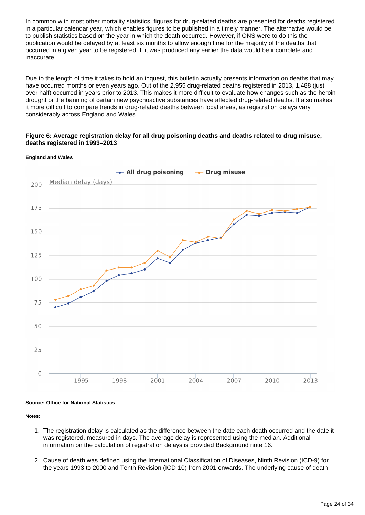In common with most other mortality statistics, figures for drug-related deaths are presented for deaths registered in a particular calendar year, which enables figures to be published in a timely manner. The alternative would be to publish statistics based on the year in which the death occurred. However, if ONS were to do this the publication would be delayed by at least six months to allow enough time for the majority of the deaths that occurred in a given year to be registered. If it was produced any earlier the data would be incomplete and inaccurate.

Due to the length of time it takes to hold an inquest, this bulletin actually presents information on deaths that may have occurred months or even years ago. Out of the 2,955 drug-related deaths registered in 2013, 1,488 (just over half) occurred in years prior to 2013. This makes it more difficult to evaluate how changes such as the heroin drought or the banning of certain new psychoactive substances have affected drug-related deaths. It also makes it more difficult to compare trends in drug-related deaths between local areas, as registration delays vary considerably across England and Wales.

### **Figure 6: Average registration delay for all drug poisoning deaths and deaths related to drug misuse, deaths registered in 1993–2013**

#### **England and Wales**



#### **Source: Office for National Statistics**

**Notes:**

- 1. The registration delay is calculated as the difference between the date each death occurred and the date it was registered, measured in days. The average delay is represented using the median. Additional information on the calculation of registration delays is provided Background note 16.
- 2. Cause of death was defined using the International Classification of Diseases, Ninth Revision (ICD-9) for the years 1993 to 2000 and Tenth Revision (ICD-10) from 2001 onwards. The underlying cause of death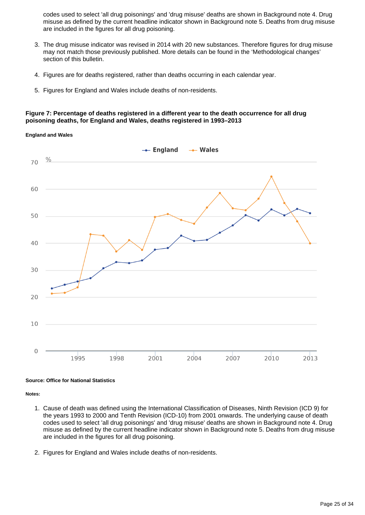codes used to select 'all drug poisonings' and 'drug misuse' deaths are shown in Background note 4. Drug misuse as defined by the current headline indicator shown in Background note 5. Deaths from drug misuse are included in the figures for all drug poisoning.

- 3. The drug misuse indicator was revised in 2014 with 20 new substances. Therefore figures for drug misuse may not match those previously published. More details can be found in the 'Methodological changes' section of this bulletin.
- 4. Figures are for deaths registered, rather than deaths occurring in each calendar year.
- 5. Figures for England and Wales include deaths of non-residents.

### **Figure 7: Percentage of deaths registered in a different year to the death occurrence for all drug poisoning deaths, for England and Wales, deaths registered in 1993–2013**

#### **England and Wales**



#### **Source: Office for National Statistics**

**Notes:**

- 1. Cause of death was defined using the International Classification of Diseases, Ninth Revision (ICD 9) for the years 1993 to 2000 and Tenth Revision (ICD-10) from 2001 onwards. The underlying cause of death codes used to select 'all drug poisonings' and 'drug misuse' deaths are shown in Background note 4. Drug misuse as defined by the current headline indicator shown in Background note 5. Deaths from drug misuse are included in the figures for all drug poisoning.
- 2. Figures for England and Wales include deaths of non-residents.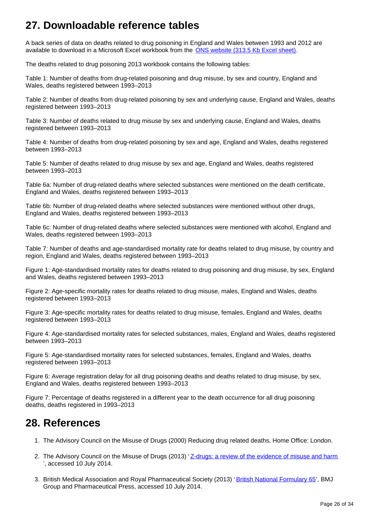## <span id="page-25-0"></span>**27. Downloadable reference tables**

A back series of data on deaths related to drug poisoning in England and Wales between 1993 and 2012 are available to download in a Microsoft Excel workbook from the [ONS website \(313.5 Kb Excel sheet\)](http://www.ons.gov.uk/ons/rel/subnational-health3/deaths-related-to-drug-poisoning/england-and-wales---2013/rft---table-1.xls).

The deaths related to drug poisoning 2013 workbook contains the following tables:

Table 1: Number of deaths from drug-related poisoning and drug misuse, by sex and country, England and Wales, deaths registered between 1993–2013

Table 2: Number of deaths from drug-related poisoning by sex and underlying cause, England and Wales, deaths registered between 1993–2013

Table 3: Number of deaths related to drug misuse by sex and underlying cause, England and Wales, deaths registered between 1993–2013

Table 4: Number of deaths from drug-related poisoning by sex and age, England and Wales, deaths registered between 1993–2013

Table 5: Number of deaths related to drug misuse by sex and age, England and Wales, deaths registered between 1993–2013

Table 6a: Number of drug-related deaths where selected substances were mentioned on the death certificate, England and Wales, deaths registered between 1993–2013

Table 6b: Number of drug-related deaths where selected substances were mentioned without other drugs, England and Wales, deaths registered between 1993–2013

Table 6c: Number of drug-related deaths where selected substances were mentioned with alcohol, England and Wales, deaths registered between 1993–2013

Table 7: Number of deaths and age-standardised mortality rate for deaths related to drug misuse, by country and region, England and Wales, deaths registered between 1993–2013

Figure 1: Age-standardised mortality rates for deaths related to drug poisoning and drug misuse, by sex, England and Wales, deaths registered between 1993–2013

Figure 2: Age-specific mortality rates for deaths related to drug misuse, males, England and Wales, deaths registered between 1993–2013

Figure 3: Age-specific mortality rates for deaths related to drug misuse, females, England and Wales, deaths registered between 1993–2013

Figure 4: Age-standardised mortality rates for selected substances, males, England and Wales, deaths registered between 1993–2013

Figure 5: Age-standardised mortality rates for selected substances, females, England and Wales, deaths registered between 1993–2013

Figure 6: Average registration delay for all drug poisoning deaths and deaths related to drug misuse, by sex, England and Wales, deaths registered between 1993–2013

Figure 7: Percentage of deaths registered in a different year to the death occurrence for all drug poisoning deaths, deaths registered in 1993–2013

### <span id="page-25-1"></span>**28. References**

- 1. The Advisory Council on the Misuse of Drugs (2000) Reducing drug related deaths, Home Office: London.
- 2. The Advisory Council on the Misuse of Drugs (2013) '[Z-drugs: a review of the evidence of misuse and harm](https://www.gov.uk/government/uploads/system/uploads/attachment_data/file/237037/ACMD_advice_Z_drugs.pdf) ', accessed 10 July 2014.
- 3. British Medical Association and Royal Pharmaceutical Society (2013) '[British National Formulary 65'](http://www.bnf.org/bnf/), BMJ Group and Pharmaceutical Press, accessed 10 July 2014.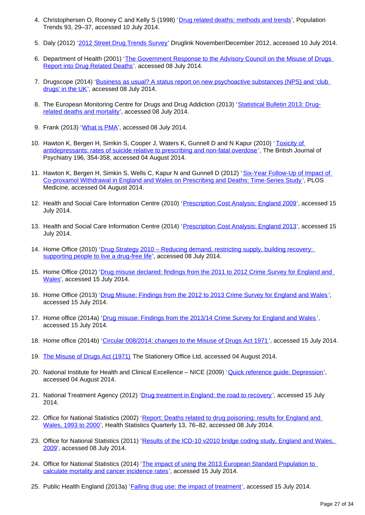- 4. Christophersen O, Rooney C and Kelly S (1998) '[Drug related deaths: methods and trends'](http://www.ons.gov.uk/ons/rel/population-trends-rd/population-trends/no--93--autumn-1998/drug-related-mortality.pdf), Population Trends 93, 29–37, accessed 10 July 2014.
- 5. Daly (2012) '<u>2012 Street Drug Trends Survey</u>' Druglink November/December 2012, accessed 10 July 2014.
- 6. Department of Health (2001) 'The Government Response to the Advisory Council on the Misuse of Drugs [Report into Drug Related Deaths](http://webarchive.nationalarchives.gov.uk/20130107105354/http:/www.dh.gov.uk/en/Publicationsandstatistics/Publications/PublicationsPolicyAndGuidance/DH_4015217)'. accessed 08 July 2014.
- 7. Drugscope (2014) 'Business as usual? A status report on new psychoactive substances (NPS) and 'club [drugs' in the UK'](http://www.drugscope.org.uk/Resources/Drugscope/Documents/PDF/Policy/BusinessAsUsual.pdf), accessed 08 July 2014.
- 8. The European Monitoring Centre for Drugs and Drug Addiction (2013) '[Statistical Bulletin 2013: Drug](http://www.emcdda.europa.eu/stats13#drd:displayTables)[related deaths and mortality](http://www.emcdda.europa.eu/stats13#drd:displayTables)', accessed 08 July 2014.
- 9. Frank (2013) '<u>[What is PMA](http://www.talktofrank.com/news/what-pma)</u>', accessed 08 July 2014.
- 10. Hawton K, Bergen H, Simkin S, Cooper J, Waters K, Gunnell D and N Kapur (2010) 'Toxicity of [antidepressants: rates of suicide relative to prescribing and non-fatal overdose](http://bjp.rcpsych.org/content/196/5/354.full.pdf)', The British Journal of Psychiatry 196, 354-358, accessed 04 August 2014.
- 11. Hawton K, Bergen H, Simkin S, Wells C, Kapur N and Gunnell D (2012) 'Six-Year Follow-Up of Impact of [Co-proxamol Withdrawal in England and Wales on Prescribing and Deaths: Time-Series Study](http://www.plosmedicine.org/article/info%3Adoi%2F10.1371%2Fjournal.pmed.1001213) ', PLOS Medicine, accessed 04 August 2014.
- 12. Health and Social Care Information Centre (2010) '[Prescription Cost Analysis: England 2009](http://www.hscic.gov.uk/article/2021/Website-Search?productid=2665&q=Prescription+Cost+Analysis+2009&sort=Relevance&size=10&page=1&area=both)', accessed 15 July 2014.
- 13. Health and Social Care Information Centre (2014) '[Prescription Cost Analysis: England 2013](http://www.hscic.gov.uk/article/2021/Website-Search?productid=14494&q=Prescription+Cost+Analysis&sort=Relevance&size=10&page=1&area=both#top)', accessed 15 July 2014.
- 14. Home Office (2010) 'Drug Strategy 2010 Reducing demand, restricting supply, building recovery: [supporting people to live a drug-free life](http://www.gov.uk/government/uploads/system/uploads/attachment_data/file/98026/drug-strategy-2010.pdf)', accessed 08 July 2014.
- 15. Home Office (2012) 'Drug misuse declared: findings from the 2011 to 2012 Crime Survey for England and [Wales](https://www.gov.uk/government/publications/drug-misuse-declared-findings-from-the-2011-12-crime-survey-for-england-and-wales--2)', accessed 15 July 2014.
- 16. Home Office (2013) '[Drug Misuse: Findings from the 2012 to 2013 Crime Survey for England and Wales](http://www.gov.uk/government/publications/drug-misuse-findings-from-the-2012-to-2013-csew/drug-misuse-findings-from-the-2012-to-2013-crime-survey-for-england-and-wales)', accessed 15 July 2014.
- 17. Home office (2014a) '[Drug misuse: Findings from the 2013/14 Crime Survey for England and Wales](https://www.gov.uk/government/publications/drug-misuse-findings-from-the-2013-to-2014-csew/drug-misuse-findings-from-the-201314-crime-survey-for-england-and-wales)', accessed 15 July 2014.
- 18. Home office (2014b) '[Circular 008/2014: changes to the Misuse of Drugs Act 1971](https://www.gov.uk/search?q=Circular+008%2F2014%3A+changes+to+the+Misuse+of+Drugs+Act+1971)', accessed 15 July 2014.
- 19. [The Misuse of Drugs Act \(1971\)](http://www.legislation.gov.uk/ukpga/1971/38/contents) The Stationery Office Ltd, accessed 04 August 2014.
- 20. National Institute for Health and Clinical Excellence NICE (2009) '[Quick reference guide: Depression](http://www.nice.org.uk/nicemedia/live/12329/45890/45890.pdf)', accessed 04 August 2014.
- 21. National Treatment Agency (2012) '[Drug treatment in England: the road to recovery](http://www.nta.nhs.uk/uploads/dtie2012v1.pdf)', accessed 15 July 2014.
- 22. Office for National Statistics (2002) 'Report: Deaths related to drug poisoning: results for England and [Wales, 1993 to 2000'](http://www.ons.gov.uk/ons/rel/hsq/health-statistics-quarterly/no--13--spring-2002/index.html), Health Statistics Quarterly 13, 76–82, accessed 08 July 2014.
- 23. Office for National Statistics (2011) 'Results of the ICD-10 v2010 bridge coding study, England and Wales, [2009](http://www.ons.gov.uk/ons/rel/subnational-health3/results-of-the-icd-10-v2010-bridge-coding-study--england-and-wales--2009/2009.html)', accessed 08 July 2014.
- 24. Office for National Statistics (2014) 'The impact of using the 2013 European Standard Population to [calculate mortality and cancer incidence rates](http://www.ons.gov.uk/ons/rel/cancer-unit/the-impact-of-calculating-cancer-incidence-rates-using-the-2013-european-standard-population/applied-to-2011-cancer-registrations/sty-cancer-rates-esp.html)', accessed 15 July 2014.
- 25. Public Health England (2013a) '*[Falling drug use: the impact of treatment'](http://www.nta.nhs.uk/uploads/prevalence-commentary.pdf)*, accessed 15 July 2014.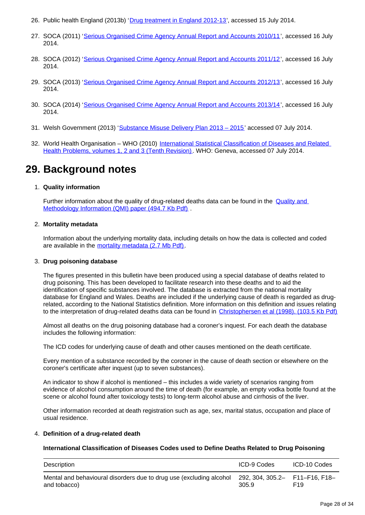- 26. Public health England (2013b) '[Drug treatment in England 2012-13](http://www.nta.nhs.uk/uploads/adultstats2012-13.pdf)', accessed 15 July 2014.
- 27. SOCA (2011) '[Serious Organised Crime Agency Annual Report and Accounts 2010/11'](https://www.gov.uk/government/publications/serious-organised-crime-agency-annual-report-and-accounts-2010-to-2011), accessed 16 July 2014.
- 28. SOCA (2012) '[Serious Organised Crime Agency Annual Report and Accounts 2011/12'](https://www.gov.uk/government/publications/serious-organised-crime-agency-annual-report-and-accounts-2011-to-2012), accessed 16 July 2014.
- 29. SOCA (2013) '[Serious Organised Crime Agency Annual Report and Accounts 2012/13'](https://www.gov.uk/government/uploads/system/uploads/attachment_data/file/246722/0273.pdf), accessed 16 July 2014.
- 30. SOCA (2014) '[Serious Organised Crime Agency Annual Report and Accounts 2013/14'](https://www.gov.uk/government/uploads/system/uploads/attachment_data/file/330516/SOCA2013-14.pdf), accessed 16 July 2014.
- 31. Welsh Government (2013) '<u>Substance Misuse Delivery Plan 2013 2015</u>' accessed 07 July 2014.
- 32. World Health Organisation WHO (2010) International Statistical Classification of Diseases and Related [Health Problems, volumes 1, 2 and 3 \(Tenth Revision\)](http://apps.who.int/classifications/icd/en/index.html). WHO: Geneva, accessed 07 July 2014.

## <span id="page-27-0"></span>**29. Background notes**

### 1. **Quality information**

Further information about the quality of drug-related deaths data can be found in the [Quality and](http://www.ons.gov.uk/ons/guide-method/method-quality/quality/quality-information/health-and-social-care/quality-and-methodology-information-for-deaths-related-to-drug-poisoning.pdf)  [Methodology Information \(QMI\) paper \(494.7 Kb Pdf\)](http://www.ons.gov.uk/ons/guide-method/method-quality/quality/quality-information/health-and-social-care/quality-and-methodology-information-for-deaths-related-to-drug-poisoning.pdf)

### 2. **Mortality metadata**

Information about the underlying mortality data, including details on how the data is collected and coded are available in the [mortality metadata \(2.7 Mb Pdf\).](http://www.ons.gov.uk/ons/guide-method/user-guidance/health-and-life-events/mortality-metadata.pdf)

#### 3. **Drug poisoning database**

The figures presented in this bulletin have been produced using a special database of deaths related to drug poisoning. This has been developed to facilitate research into these deaths and to aid the identification of specific substances involved. The database is extracted from the national mortality database for England and Wales. Deaths are included if the underlying cause of death is regarded as drugrelated, according to the National Statistics definition. More information on this definition and issues relating to the interpretation of drug-related deaths data can be found in [Christophersen et al \(1998\). \(103.5 Kb Pdf\)](http://www.ons.gov.uk/ons/rel/population-trends-rd/population-trends/no--93--autumn-1998/drug-related-mortality.pdf)

Almost all deaths on the drug poisoning database had a coroner's inquest. For each death the database includes the following information:

The ICD codes for underlying cause of death and other causes mentioned on the death certificate.

Every mention of a substance recorded by the coroner in the cause of death section or elsewhere on the coroner's certificate after inquest (up to seven substances).

An indicator to show if alcohol is mentioned – this includes a wide variety of scenarios ranging from evidence of alcohol consumption around the time of death (for example, an empty vodka bottle found at the scene or alcohol found after toxicology tests) to long-term alcohol abuse and cirrhosis of the liver.

Other information recorded at death registration such as age, sex, marital status, occupation and place of usual residence.

#### 4. **Definition of a drug-related death**

#### **International Classification of Diseases Codes used to Define Deaths Related to Drug Poisoning**

| Description                                                                         | ICD-9 Codes                             | ICD-10 Codes    |
|-------------------------------------------------------------------------------------|-----------------------------------------|-----------------|
| Mental and behavioural disorders due to drug use (excluding alcohol<br>and tobacco) | 292, 304, 305.2- F11-F16, F18-<br>305.9 | F <sub>19</sub> |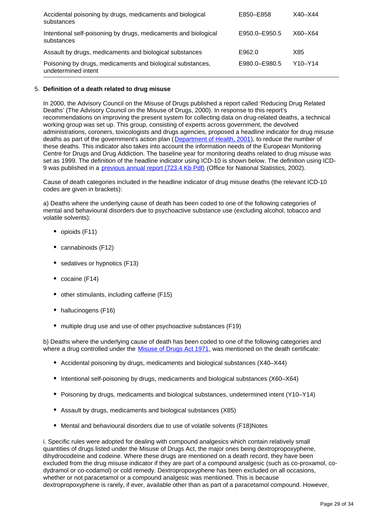| Accidental poisoning by drugs, medicaments and biological<br>substances           | E850-E858     | X40–X44     |
|-----------------------------------------------------------------------------------|---------------|-------------|
| Intentional self-poisoning by drugs, medicaments and biological<br>substances     | E950.0-E950.5 | $X60 - X64$ |
| Assault by drugs, medicaments and biological substances                           | E962.0        | X85         |
| Poisoning by drugs, medicaments and biological substances,<br>undetermined intent | E980.0-E980.5 | Y10-Y14     |

### 5. **Definition of a death related to drug misuse**

In 2000, the Advisory Council on the Misuse of Drugs published a report called 'Reducing Drug Related Deaths' (The Advisory Council on the Misuse of Drugs, 2000). In response to this report's recommendations on improving the present system for collecting data on drug-related deaths, a technical working group was set up. This group, consisting of experts across government, the devolved administrations, coroners, toxicologists and drugs agencies, proposed a headline indicator for drug misuse deaths as part of the government's action plan ([Department of Health, 2001](http://webarchive.nationalarchives.gov.uk/20130107105354/http:/www.dh.gov.uk/en/Publicationsandstatistics/Publications/PublicationsPolicyAndGuidance/DH_4015217)), to reduce the number of these deaths. This indicator also takes into account the information needs of the European Monitoring Centre for Drugs and Drug Addiction. The baseline year for monitoring deaths related to drug misuse was set as 1999. The definition of the headline indicator using ICD-10 is shown below. The definition using ICD-9 was published in a [previous annual report \(723.4 Kb Pdf\)](http://www.ons.gov.uk/ons/rel/hsq/health-statistics-quarterly/no--13--spring-2002/health-statistics-quarterly.pdf) (Office for National Statistics, 2002).

Cause of death categories included in the headline indicator of drug misuse deaths (the relevant ICD-10 codes are given in brackets):

a) Deaths where the underlying cause of death has been coded to one of the following categories of mental and behavioural disorders due to psychoactive substance use (excluding alcohol, tobacco and volatile solvents):

- opioids (F11)
- cannabinoids (F12)
- sedatives or hypnotics (F13)
- cocaine (F14)
- other stimulants, including caffeine (F15)
- hallucinogens (F16)
- multiple drug use and use of other psychoactive substances (F19)

b) Deaths where the underlying cause of death has been coded to one of the following categories and where a drug controlled under the [Misuse of Drugs Act 1971](http://www.legislation.gov.uk/ukpga/1971/38/contents), was mentioned on the death certificate:

- Accidental poisoning by drugs, medicaments and biological substances (X40–X44)
- Intentional self-poisoning by drugs, medicaments and biological substances (X60–X64)
- Poisoning by drugs, medicaments and biological substances, undetermined intent (Y10–Y14)
- Assault by drugs, medicaments and biological substances (X85)
- Mental and behavioural disorders due to use of volatile solvents (F18)Notes

i. Specific rules were adopted for dealing with compound analgesics which contain relatively small quantities of drugs listed under the Misuse of Drugs Act, the major ones being dextropropoxyphene, dihydrocodeine and codeine. Where these drugs are mentioned on a death record, they have been excluded from the drug misuse indicator if they are part of a compound analgesic (such as co-proxamol, codydramol or co-codamol) or cold remedy. Dextropropoxyphene has been excluded on all occasions, whether or not paracetamol or a compound analgesic was mentioned. This is because dextropropoxyphene is rarely, if ever, available other than as part of a paracetamol compound. However,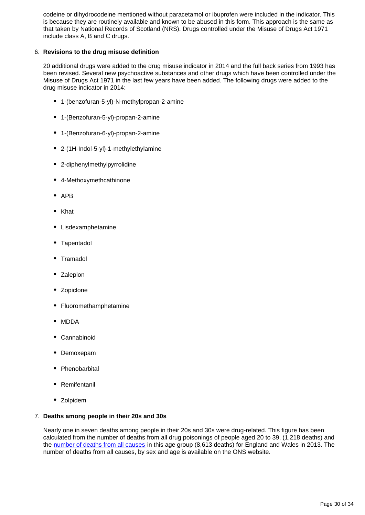codeine or dihydrocodeine mentioned without paracetamol or ibuprofen were included in the indicator. This is because they are routinely available and known to be abused in this form. This approach is the same as that taken by National Records of Scotland (NRS). Drugs controlled under the Misuse of Drugs Act 1971 include class A, B and C drugs.

### 6. **Revisions to the drug misuse definition**

20 additional drugs were added to the drug misuse indicator in 2014 and the full back series from 1993 has been revised. Several new psychoactive substances and other drugs which have been controlled under the Misuse of Drugs Act 1971 in the last few years have been added. The following drugs were added to the drug misuse indicator in 2014:

- 1-(benzofuran-5-yl)-N-methylpropan-2-amine
- 1-(Benzofuran-5-yl)-propan-2-amine
- 1-(Benzofuran-6-yl)-propan-2-amine
- 2-(1H-Indol-5-yl)-1-methylethylamine
- 2-diphenylmethylpyrrolidine
- 4-Methoxymethcathinone
- $APB$
- Khat
- Lisdexamphetamine
- Tapentadol
- Tramadol
- Zaleplon
- Zopiclone
- Fluoromethamphetamine
- MDDA
- Cannabinoid
- Demoxepam
- Phenobarbital
- Remifentanil
- Zolpidem

### 7. **Deaths among people in their 20s and 30s**

Nearly one in seven deaths among people in their 20s and 30s were drug-related. This figure has been calculated from the number of deaths from all drug poisonings of people aged 20 to 39, (1,218 deaths) and the [number of deaths from all causes](http://www.ons.gov.uk/ons/rel/vsob1/death-reg-sum-tables/index.html) in this age group (8,613 deaths) for England and Wales in 2013. The number of deaths from all causes, by sex and age is available on the ONS website.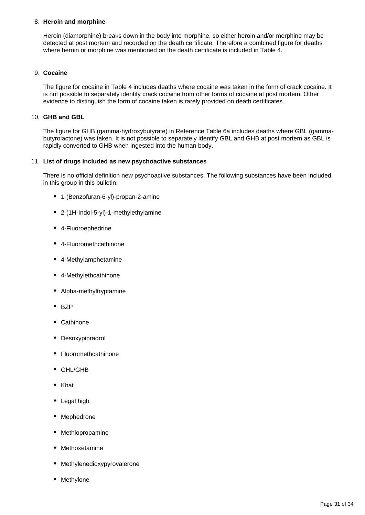### 8. **Heroin and morphine**

Heroin (diamorphine) breaks down in the body into morphine, so either heroin and/or morphine may be detected at post mortem and recorded on the death certificate. Therefore a combined figure for deaths where heroin or morphine was mentioned on the death certificate is included in Table 4.

### 9. **Cocaine**

The figure for cocaine in Table 4 includes deaths where cocaine was taken in the form of crack cocaine. It is not possible to separately identify crack cocaine from other forms of cocaine at post mortem. Other evidence to distinguish the form of cocaine taken is rarely provided on death certificates.

### 10. **GHB and GBL**

The figure for GHB (gamma-hydroxybutyrate) in Reference Table 6a includes deaths where GBL (gammabutyrolactone) was taken. It is not possible to separately identify GBL and GHB at post mortem as GBL is rapidly converted to GHB when ingested into the human body.

### 11. **List of drugs included as new psychoactive substances**

There is no official definition new psychoactive substances. The following substances have been included in this group in this bulletin:

- 1-(Benzofuran-6-yl)-propan-2-amine
- 2-(1H-Indol-5-yl)-1-methylethylamine
- 4-Fluoroephedrine
- 4-Fluoromethcathinone
- 4-Methylamphetamine
- 4-Methylethcathinone
- Alpha-methyltryptamine
- $-BZP$
- Cathinone
- Desoxypipradrol
- Fluoromethcathinone
- GHL/GHB
- Khat
- Legal high
- Mephedrone
- Methiopropamine
- Methoxetamine
- Methylenedioxypyrovalerone
- Methylone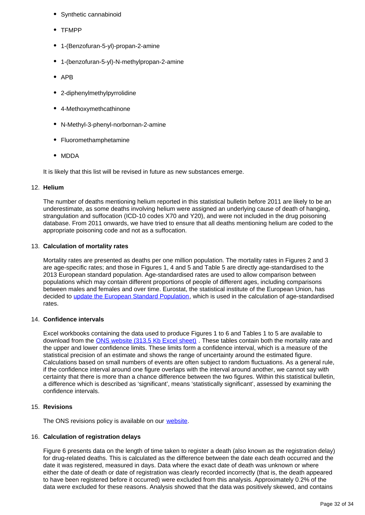- Synthetic cannabinoid
- TFMPP
- 1-(Benzofuran-5-yl)-propan-2-amine
- 1-(benzofuran-5-yl)-N-methylpropan-2-amine
- APB
- 2-diphenylmethylpyrrolidine
- 4-Methoxymethcathinone
- N-Methyl-3-phenyl-norbornan-2-amine
- Fluoromethamphetamine
- MDDA

It is likely that this list will be revised in future as new substances emerge.

### 12. **Helium**

The number of deaths mentioning helium reported in this statistical bulletin before 2011 are likely to be an underestimate, as some deaths involving helium were assigned an underlying cause of death of hanging, strangulation and suffocation (ICD-10 codes X70 and Y20), and were not included in the drug poisoning database. From 2011 onwards, we have tried to ensure that all deaths mentioning helium are coded to the appropriate poisoning code and not as a suffocation.

### 13. **Calculation of mortality rates**

Mortality rates are presented as deaths per one million population. The mortality rates in Figures 2 and 3 are age-specific rates; and those in Figures 1, 4 and 5 and Table 5 are directly age-standardised to the 2013 European standard population. Age-standardised rates are used to allow comparison between populations which may contain different proportions of people of different ages, including comparisons between males and females and over time. Eurostat, the statistical institute of the European Union, has decided to [update the European Standard Population](http://www.ons.gov.uk/ons/guide-method/user-guidance/health-and-life-events/revised-european-standard-population-2013--2013-esp-/index.html), which is used in the calculation of age-standardised rates.

### 14. **Confidence intervals**

Excel workbooks containing the data used to produce Figures 1 to 6 and Tables 1 to 5 are available to download from the [ONS website \(313.5 Kb Excel sheet\)](http://www.ons.gov.uk/ons/rel/subnational-health3/deaths-related-to-drug-poisoning/england-and-wales---2013/rft---table-1.xls). These tables contain both the mortality rate and the upper and lower confidence limits. These limits form a confidence interval, which is a measure of the statistical precision of an estimate and shows the range of uncertainty around the estimated figure. Calculations based on small numbers of events are often subject to random fluctuations. As a general rule, if the confidence interval around one figure overlaps with the interval around another, we cannot say with certainty that there is more than a chance difference between the two figures. Within this statistical bulletin, a difference which is described as 'significant', means 'statistically significant', assessed by examining the confidence intervals.

### 15. **Revisions**

The ONS revisions policy is available on our [website](http://www.ons.gov.uk/ons/guide-method/revisions/revisions-and-corrections-policy/index.html).

### 16. **Calculation of registration delays**

Figure 6 presents data on the length of time taken to register a death (also known as the registration delay) for drug-related deaths. This is calculated as the difference between the date each death occurred and the date it was registered, measured in days. Data where the exact date of death was unknown or where either the date of death or date of registration was clearly recorded incorrectly (that is, the death appeared to have been registered before it occurred) were excluded from this analysis. Approximately 0.2% of the data were excluded for these reasons. Analysis showed that the data was positively skewed, and contains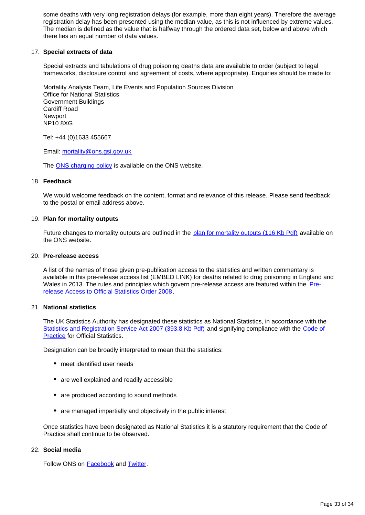some deaths with very long registration delays (for example, more than eight years). Therefore the average registration delay has been presented using the median value, as this is not influenced by extreme values. The median is defined as the value that is halfway through the ordered data set, below and above which there lies an equal number of data values.

### 17. **Special extracts of data**

Special extracts and tabulations of drug poisoning deaths data are available to order (subject to legal frameworks, disclosure control and agreement of costs, where appropriate). Enquiries should be made to:

Mortality Analysis Team, Life Events and Population Sources Division Office for National Statistics Government Buildings Cardiff Road Newport NP10 8XG

Tel: +44 (0)1633 455667

Email: mortality@ons.gsi.gov.uk

The [ONS charging policy](http://www.ons.gov.uk/ons/about-ons/business-transparency/freedom-of-information/ons-charging-policy/index.html) is available on the ONS website.

#### 18. **Feedback**

We would welcome feedback on the content, format and relevance of this release. Please send feedback to the postal or email address above.

#### 19. **Plan for mortality outputs**

Future changes to mortality outputs are outlined in the [plan for mortality outputs \(116 Kb Pdf\)](http://www.ons.gov.uk/ons/guide-method/user-guidance/health-and-life-events/plan-for-mortality-statistics.pdf) available on the ONS website.

#### 20. **Pre-release access**

A list of the names of those given pre-publication access to the statistics and written commentary is available in this pre-release access list (EMBED LINK) for deaths related to drug poisoning in England and Wales in 2013. The rules and principles which govern pre-release access are featured within the [Pre](http://www.legislation.gov.uk/uksi/2008/2998/schedule/made)[release Access to Official Statistics Order 2008.](http://www.legislation.gov.uk/uksi/2008/2998/schedule/made)

#### 21. **National statistics**

The UK Statistics Authority has designated these statistics as National Statistics, in accordance with the [Statistics and Registration Service Act 2007 \(393.8 Kb Pdf\)](http://www.ons.gov.uk/ons/guide-method/ons-independence/the-statistics-act/a-brief-guide-to-the-statistics-and-registration-service-act-2007.pdf) and signifying compliance with the Code of **[Practice](http://www.ons.gov.uk/ons/guide-method/the-national-statistics-standard/code-of-practice/index.html) for Official Statistics.** 

Designation can be broadly interpreted to mean that the statistics:

- meet identified user needs
- are well explained and readily accessible
- are produced according to sound methods
- are managed impartially and objectively in the public interest

Once statistics have been designated as National Statistics it is a statutory requirement that the Code of Practice shall continue to be observed.

#### 22. **Social media**

Follow ONS on **[Facebook](http://www.ons.gov.uk/ons/external-links/social-media/index.html)** and **Twitter**.